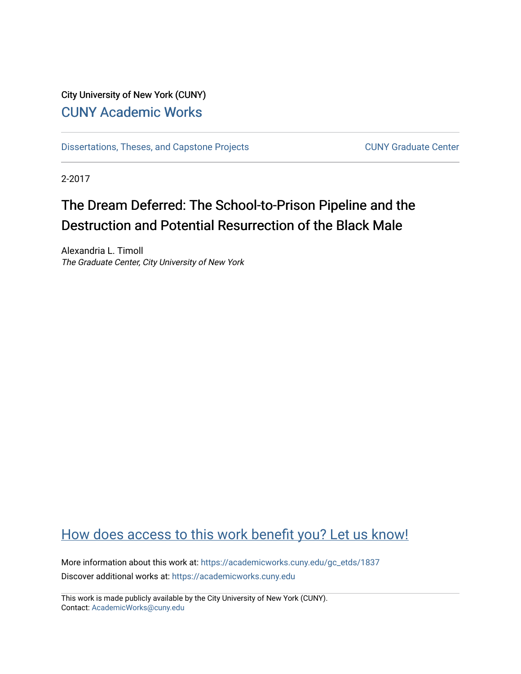# City University of New York (CUNY) [CUNY Academic Works](https://academicworks.cuny.edu/)

[Dissertations, Theses, and Capstone Projects](https://academicworks.cuny.edu/gc_etds) CUNY Graduate Center

2-2017

# The Dream Deferred: The School-to-Prison Pipeline and the Destruction and Potential Resurrection of the Black Male

Alexandria L. Timoll The Graduate Center, City University of New York

# [How does access to this work benefit you? Let us know!](http://ols.cuny.edu/academicworks/?ref=https://academicworks.cuny.edu/gc_etds/1837)

More information about this work at: [https://academicworks.cuny.edu/gc\\_etds/1837](https://academicworks.cuny.edu/gc_etds/1837) Discover additional works at: [https://academicworks.cuny.edu](https://academicworks.cuny.edu/?)

This work is made publicly available by the City University of New York (CUNY). Contact: [AcademicWorks@cuny.edu](mailto:AcademicWorks@cuny.edu)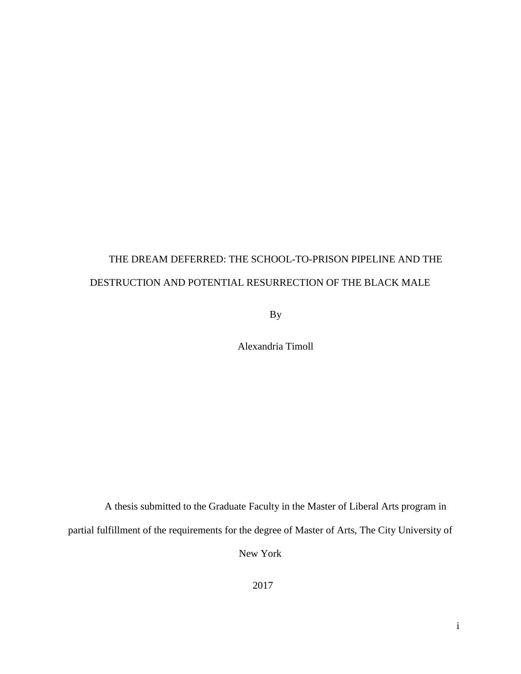# THE DREAM DEFERRED: THE SCHOOL-TO-PRISON PIPELINE AND THE DESTRUCTION AND POTENTIAL RESURRECTION OF THE BLACK MALE

By

Alexandria Timoll

A thesis submitted to the Graduate Faculty in the Master of Liberal Arts program in

partial fulfillment of the requirements for the degree of Master of Arts, The City University of

New York

2017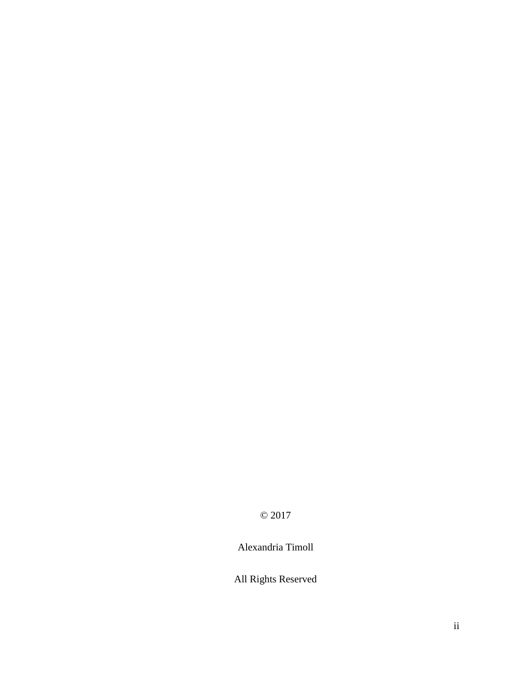© 2017

Alexandria Timoll

All Rights Reserved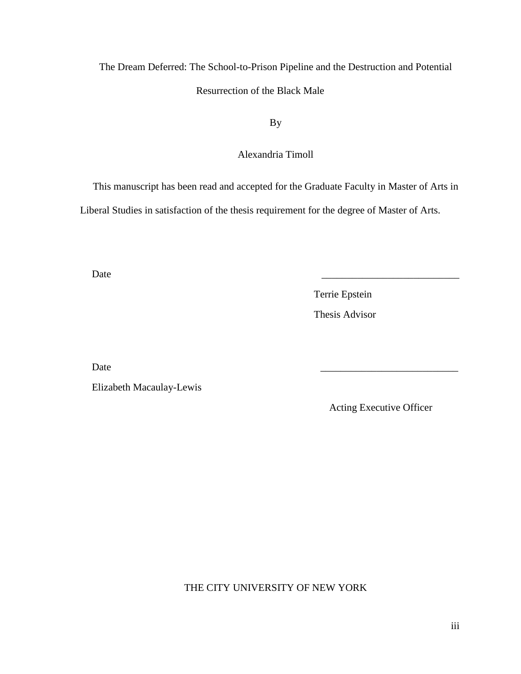The Dream Deferred: The School-to-Prison Pipeline and the Destruction and Potential Resurrection of the Black Male

By

# Alexandria Timoll

This manuscript has been read and accepted for the Graduate Faculty in Master of Arts in

Liberal Studies in satisfaction of the thesis requirement for the degree of Master of Arts.

Date  $\qquad \qquad \qquad \qquad$ 

 Terrie Epstein Thesis Advisor

Date  $\qquad \qquad \qquad$ 

Elizabeth Macaulay-Lewis

Acting Executive Officer

THE CITY UNIVERSITY OF NEW YORK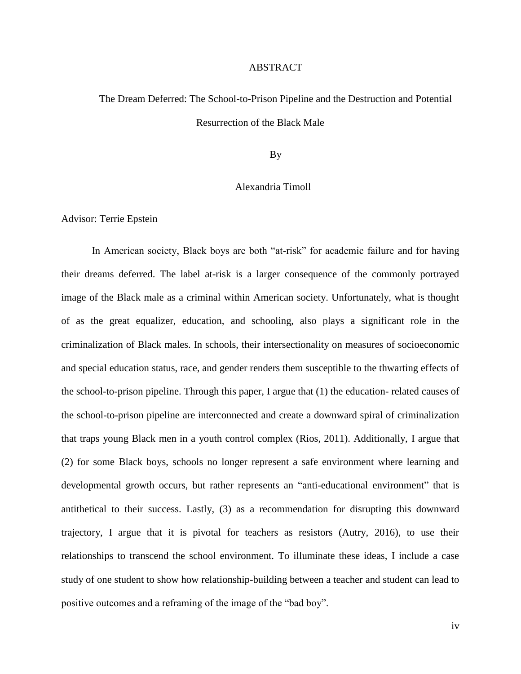# ABSTRACT

# The Dream Deferred: The School-to-Prison Pipeline and the Destruction and Potential Resurrection of the Black Male

By

# Alexandria Timoll

Advisor: Terrie Epstein

In American society, Black boys are both "at-risk" for academic failure and for having their dreams deferred. The label at-risk is a larger consequence of the commonly portrayed image of the Black male as a criminal within American society. Unfortunately, what is thought of as the great equalizer, education, and schooling, also plays a significant role in the criminalization of Black males. In schools, their intersectionality on measures of socioeconomic and special education status, race, and gender renders them susceptible to the thwarting effects of the school-to-prison pipeline. Through this paper, I argue that (1) the education- related causes of the school-to-prison pipeline are interconnected and create a downward spiral of criminalization that traps young Black men in a youth control complex (Rios, 2011). Additionally, I argue that (2) for some Black boys, schools no longer represent a safe environment where learning and developmental growth occurs, but rather represents an "anti-educational environment" that is antithetical to their success. Lastly, (3) as a recommendation for disrupting this downward trajectory, I argue that it is pivotal for teachers as resistors (Autry, 2016), to use their relationships to transcend the school environment. To illuminate these ideas, I include a case study of one student to show how relationship-building between a teacher and student can lead to positive outcomes and a reframing of the image of the "bad boy".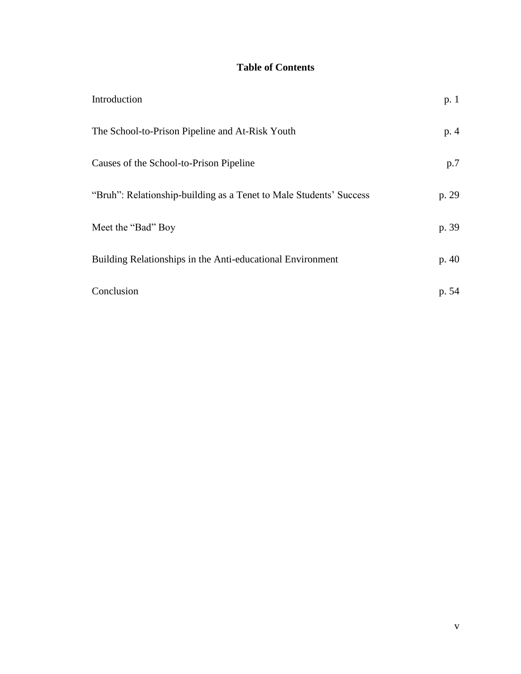# **Table of Contents**

| Introduction                                                       | p.1   |
|--------------------------------------------------------------------|-------|
| The School-to-Prison Pipeline and At-Risk Youth                    | p.4   |
| Causes of the School-to-Prison Pipeline                            | p.7   |
| "Bruh": Relationship-building as a Tenet to Male Students' Success | p. 29 |
| Meet the "Bad" Boy                                                 | p. 39 |
| Building Relationships in the Anti-educational Environment         | p.40  |
| Conclusion                                                         | p. 54 |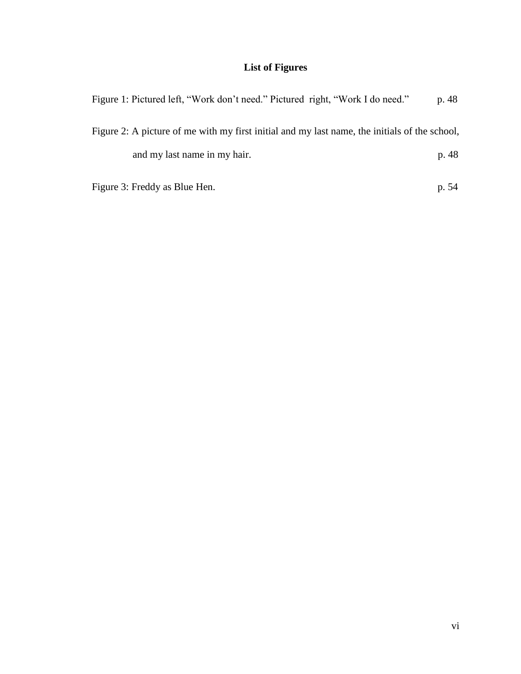# **List of Figures**

| Figure 1: Pictured left, "Work don't need." Pictured right, "Work I do need."                 | p. 48 |
|-----------------------------------------------------------------------------------------------|-------|
| Figure 2: A picture of me with my first initial and my last name, the initials of the school, |       |
| and my last name in my hair.                                                                  | p. 48 |
| Figure 3: Freddy as Blue Hen.                                                                 | p. 54 |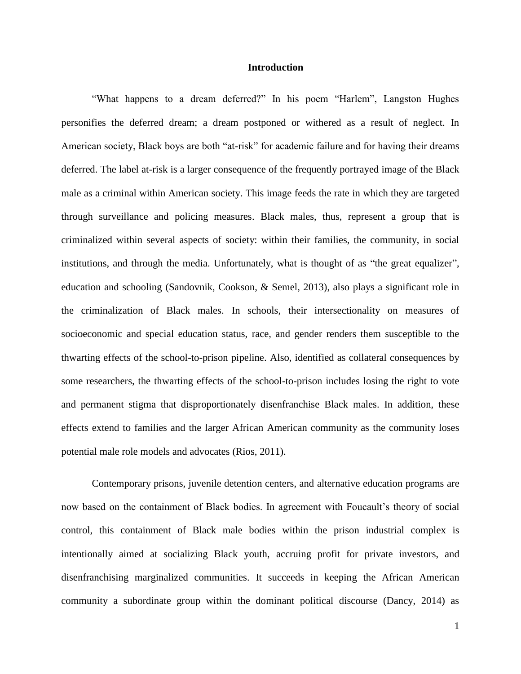## **Introduction**

"What happens to a dream deferred?" In his poem "Harlem", Langston Hughes personifies the deferred dream; a dream postponed or withered as a result of neglect. In American society, Black boys are both "at-risk" for academic failure and for having their dreams deferred. The label at-risk is a larger consequence of the frequently portrayed image of the Black male as a criminal within American society. This image feeds the rate in which they are targeted through surveillance and policing measures. Black males, thus, represent a group that is criminalized within several aspects of society: within their families, the community, in social institutions, and through the media. Unfortunately, what is thought of as "the great equalizer", education and schooling (Sandovnik, Cookson, & Semel, 2013), also plays a significant role in the criminalization of Black males. In schools, their intersectionality on measures of socioeconomic and special education status, race, and gender renders them susceptible to the thwarting effects of the school-to-prison pipeline. Also, identified as collateral consequences by some researchers, the thwarting effects of the school-to-prison includes losing the right to vote and permanent stigma that disproportionately disenfranchise Black males. In addition, these effects extend to families and the larger African American community as the community loses potential male role models and advocates (Rios, 2011).

Contemporary prisons, juvenile detention centers, and alternative education programs are now based on the containment of Black bodies. In agreement with Foucault's theory of social control, this containment of Black male bodies within the prison industrial complex is intentionally aimed at socializing Black youth, accruing profit for private investors, and disenfranchising marginalized communities. It succeeds in keeping the African American community a subordinate group within the dominant political discourse (Dancy, 2014) as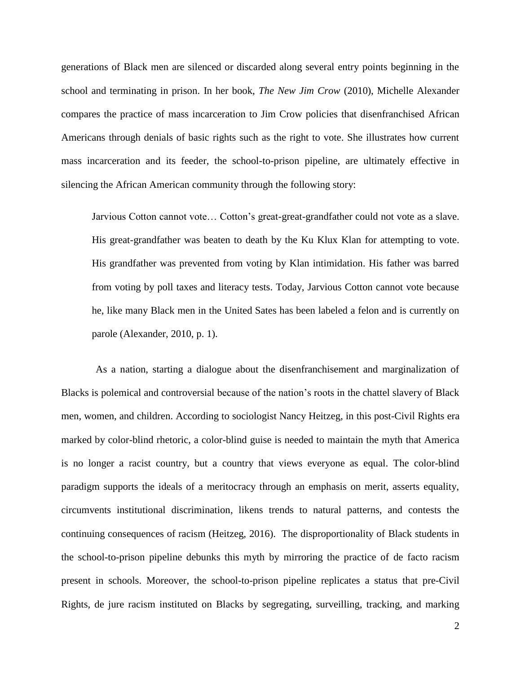generations of Black men are silenced or discarded along several entry points beginning in the school and terminating in prison. In her book, *The New Jim Crow* (2010), Michelle Alexander compares the practice of mass incarceration to Jim Crow policies that disenfranchised African Americans through denials of basic rights such as the right to vote. She illustrates how current mass incarceration and its feeder, the school-to-prison pipeline, are ultimately effective in silencing the African American community through the following story:

Jarvious Cotton cannot vote… Cotton's great-great-grandfather could not vote as a slave. His great-grandfather was beaten to death by the Ku Klux Klan for attempting to vote. His grandfather was prevented from voting by Klan intimidation. His father was barred from voting by poll taxes and literacy tests. Today, Jarvious Cotton cannot vote because he, like many Black men in the United Sates has been labeled a felon and is currently on parole (Alexander, 2010, p. 1).

As a nation, starting a dialogue about the disenfranchisement and marginalization of Blacks is polemical and controversial because of the nation's roots in the chattel slavery of Black men, women, and children. According to sociologist Nancy Heitzeg, in this post-Civil Rights era marked by color-blind rhetoric, a color-blind guise is needed to maintain the myth that America is no longer a racist country, but a country that views everyone as equal. The color-blind paradigm supports the ideals of a meritocracy through an emphasis on merit, asserts equality, circumvents institutional discrimination, likens trends to natural patterns, and contests the continuing consequences of racism (Heitzeg, 2016). The disproportionality of Black students in the school-to-prison pipeline debunks this myth by mirroring the practice of de facto racism present in schools. Moreover, the school-to-prison pipeline replicates a status that pre-Civil Rights, de jure racism instituted on Blacks by segregating, surveilling, tracking, and marking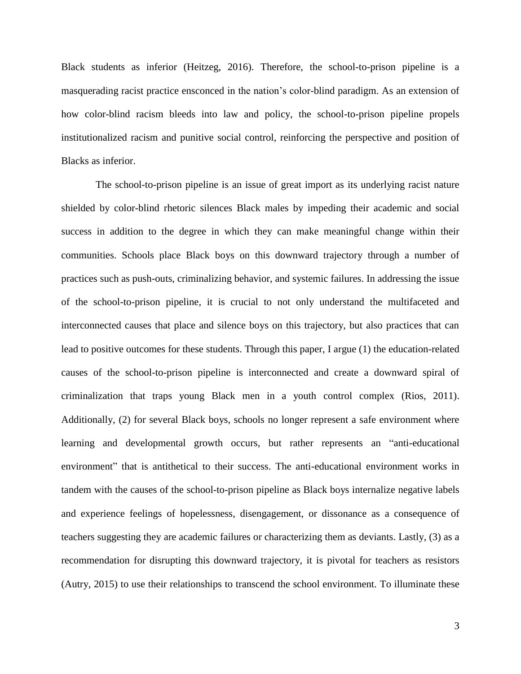Black students as inferior (Heitzeg, 2016). Therefore, the school-to-prison pipeline is a masquerading racist practice ensconced in the nation's color-blind paradigm. As an extension of how color-blind racism bleeds into law and policy, the school-to-prison pipeline propels institutionalized racism and punitive social control, reinforcing the perspective and position of Blacks as inferior.

The school-to-prison pipeline is an issue of great import as its underlying racist nature shielded by color-blind rhetoric silences Black males by impeding their academic and social success in addition to the degree in which they can make meaningful change within their communities. Schools place Black boys on this downward trajectory through a number of practices such as push-outs, criminalizing behavior, and systemic failures. In addressing the issue of the school-to-prison pipeline, it is crucial to not only understand the multifaceted and interconnected causes that place and silence boys on this trajectory, but also practices that can lead to positive outcomes for these students. Through this paper, I argue (1) the education-related causes of the school-to-prison pipeline is interconnected and create a downward spiral of criminalization that traps young Black men in a youth control complex (Rios, 2011). Additionally, (2) for several Black boys, schools no longer represent a safe environment where learning and developmental growth occurs, but rather represents an "anti-educational environment" that is antithetical to their success. The anti-educational environment works in tandem with the causes of the school-to-prison pipeline as Black boys internalize negative labels and experience feelings of hopelessness, disengagement, or dissonance as a consequence of teachers suggesting they are academic failures or characterizing them as deviants. Lastly, (3) as a recommendation for disrupting this downward trajectory, it is pivotal for teachers as resistors (Autry, 2015) to use their relationships to transcend the school environment. To illuminate these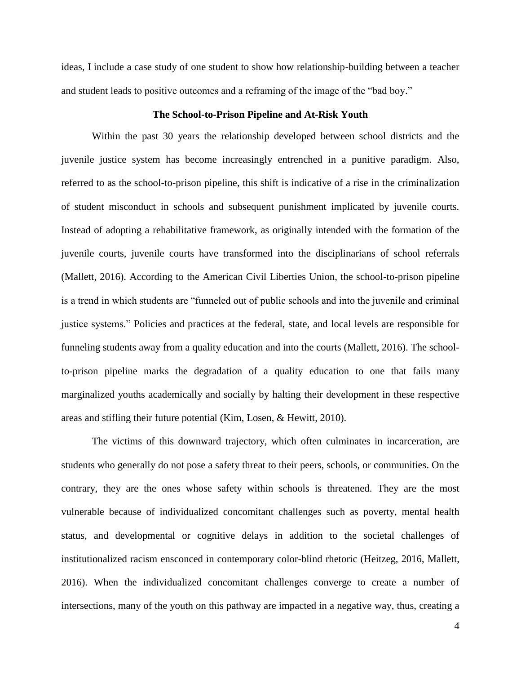ideas, I include a case study of one student to show how relationship-building between a teacher and student leads to positive outcomes and a reframing of the image of the "bad boy."

## **The School-to-Prison Pipeline and At-Risk Youth**

Within the past 30 years the relationship developed between school districts and the juvenile justice system has become increasingly entrenched in a punitive paradigm. Also, referred to as the school-to-prison pipeline, this shift is indicative of a rise in the criminalization of student misconduct in schools and subsequent punishment implicated by juvenile courts. Instead of adopting a rehabilitative framework, as originally intended with the formation of the juvenile courts, juvenile courts have transformed into the disciplinarians of school referrals (Mallett, 2016). According to the American Civil Liberties Union, the school-to-prison pipeline is a trend in which students are "funneled out of public schools and into the juvenile and criminal justice systems." Policies and practices at the federal, state, and local levels are responsible for funneling students away from a quality education and into the courts (Mallett, 2016). The schoolto-prison pipeline marks the degradation of a quality education to one that fails many marginalized youths academically and socially by halting their development in these respective areas and stifling their future potential (Kim, Losen, & Hewitt, 2010).

The victims of this downward trajectory, which often culminates in incarceration, are students who generally do not pose a safety threat to their peers, schools, or communities. On the contrary, they are the ones whose safety within schools is threatened. They are the most vulnerable because of individualized concomitant challenges such as poverty, mental health status, and developmental or cognitive delays in addition to the societal challenges of institutionalized racism ensconced in contemporary color-blind rhetoric (Heitzeg, 2016, Mallett, 2016). When the individualized concomitant challenges converge to create a number of intersections, many of the youth on this pathway are impacted in a negative way, thus, creating a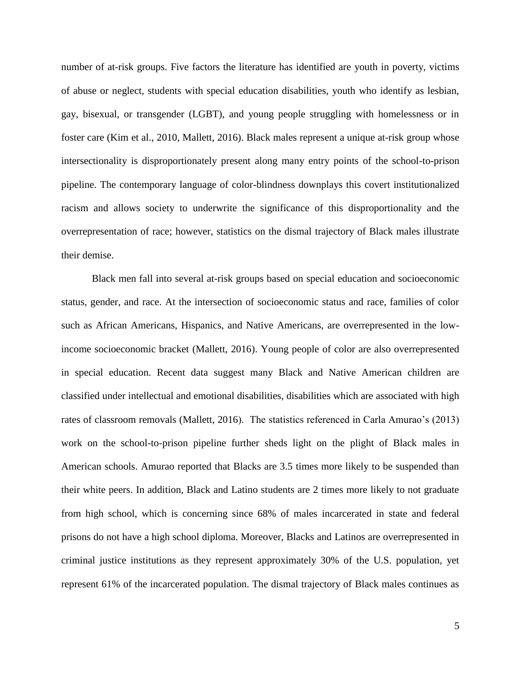number of at-risk groups. Five factors the literature has identified are youth in poverty, victims of abuse or neglect, students with special education disabilities, youth who identify as lesbian, gay, bisexual, or transgender (LGBT), and young people struggling with homelessness or in foster care (Kim et al., 2010, Mallett, 2016). Black males represent a unique at-risk group whose intersectionality is disproportionately present along many entry points of the school-to-prison pipeline. The contemporary language of color-blindness downplays this covert institutionalized racism and allows society to underwrite the significance of this disproportionality and the overrepresentation of race; however, statistics on the dismal trajectory of Black males illustrate their demise.

Black men fall into several at-risk groups based on special education and socioeconomic status, gender, and race. At the intersection of socioeconomic status and race, families of color such as African Americans, Hispanics, and Native Americans, are overrepresented in the lowincome socioeconomic bracket (Mallett, 2016). Young people of color are also overrepresented in special education. Recent data suggest many Black and Native American children are classified under intellectual and emotional disabilities, disabilities which are associated with high rates of classroom removals (Mallett, 2016). The statistics referenced in Carla Amurao's (2013) work on the school-to-prison pipeline further sheds light on the plight of Black males in American schools. Amurao reported that Blacks are 3.5 times more likely to be suspended than their white peers. In addition, Black and Latino students are 2 times more likely to not graduate from high school, which is concerning since 68% of males incarcerated in state and federal prisons do not have a high school diploma. Moreover, Blacks and Latinos are overrepresented in criminal justice institutions as they represent approximately 30% of the U.S. population, yet represent 61% of the incarcerated population. The dismal trajectory of Black males continues as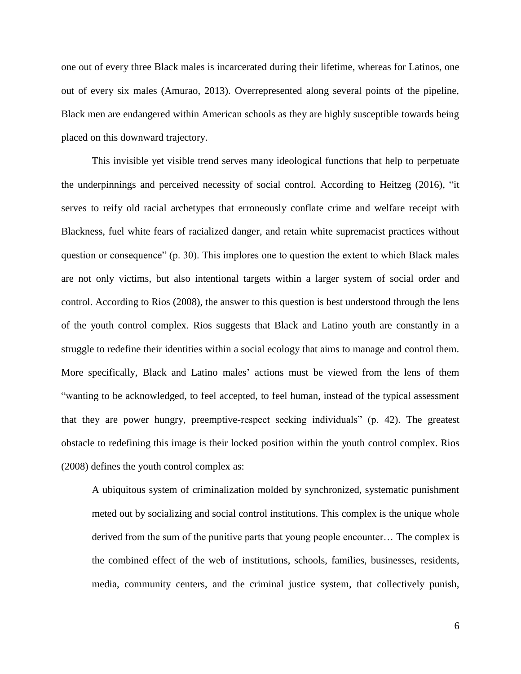one out of every three Black males is incarcerated during their lifetime, whereas for Latinos, one out of every six males (Amurao, 2013). Overrepresented along several points of the pipeline, Black men are endangered within American schools as they are highly susceptible towards being placed on this downward trajectory.

This invisible yet visible trend serves many ideological functions that help to perpetuate the underpinnings and perceived necessity of social control. According to Heitzeg (2016), "it serves to reify old racial archetypes that erroneously conflate crime and welfare receipt with Blackness, fuel white fears of racialized danger, and retain white supremacist practices without question or consequence" (p. 30). This implores one to question the extent to which Black males are not only victims, but also intentional targets within a larger system of social order and control. According to Rios (2008), the answer to this question is best understood through the lens of the youth control complex. Rios suggests that Black and Latino youth are constantly in a struggle to redefine their identities within a social ecology that aims to manage and control them. More specifically, Black and Latino males' actions must be viewed from the lens of them "wanting to be acknowledged, to feel accepted, to feel human, instead of the typical assessment that they are power hungry, preemptive-respect seeking individuals" (p. 42). The greatest obstacle to redefining this image is their locked position within the youth control complex. Rios (2008) defines the youth control complex as:

A ubiquitous system of criminalization molded by synchronized, systematic punishment meted out by socializing and social control institutions. This complex is the unique whole derived from the sum of the punitive parts that young people encounter… The complex is the combined effect of the web of institutions, schools, families, businesses, residents, media, community centers, and the criminal justice system, that collectively punish,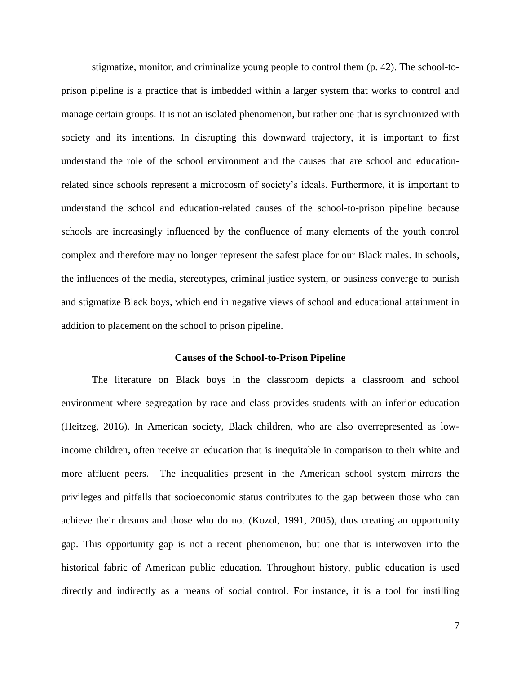stigmatize, monitor, and criminalize young people to control them (p. 42). The school-toprison pipeline is a practice that is imbedded within a larger system that works to control and manage certain groups. It is not an isolated phenomenon, but rather one that is synchronized with society and its intentions. In disrupting this downward trajectory, it is important to first understand the role of the school environment and the causes that are school and educationrelated since schools represent a microcosm of society's ideals. Furthermore, it is important to understand the school and education-related causes of the school-to-prison pipeline because schools are increasingly influenced by the confluence of many elements of the youth control complex and therefore may no longer represent the safest place for our Black males. In schools, the influences of the media, stereotypes, criminal justice system, or business converge to punish and stigmatize Black boys, which end in negative views of school and educational attainment in addition to placement on the school to prison pipeline.

#### **Causes of the School-to-Prison Pipeline**

The literature on Black boys in the classroom depicts a classroom and school environment where segregation by race and class provides students with an inferior education (Heitzeg, 2016). In American society, Black children, who are also overrepresented as lowincome children, often receive an education that is inequitable in comparison to their white and more affluent peers. The inequalities present in the American school system mirrors the privileges and pitfalls that socioeconomic status contributes to the gap between those who can achieve their dreams and those who do not (Kozol, 1991, 2005), thus creating an opportunity gap. This opportunity gap is not a recent phenomenon, but one that is interwoven into the historical fabric of American public education. Throughout history, public education is used directly and indirectly as a means of social control. For instance, it is a tool for instilling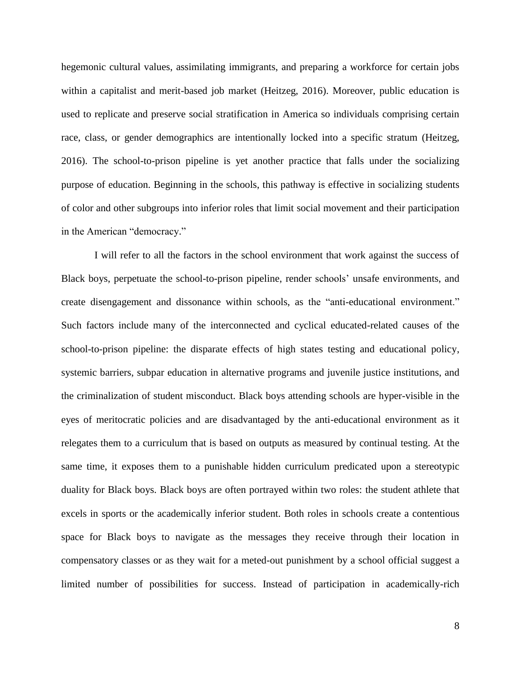hegemonic cultural values, assimilating immigrants, and preparing a workforce for certain jobs within a capitalist and merit-based job market (Heitzeg, 2016). Moreover, public education is used to replicate and preserve social stratification in America so individuals comprising certain race, class, or gender demographics are intentionally locked into a specific stratum (Heitzeg, 2016). The school-to-prison pipeline is yet another practice that falls under the socializing purpose of education. Beginning in the schools, this pathway is effective in socializing students of color and other subgroups into inferior roles that limit social movement and their participation in the American "democracy."

I will refer to all the factors in the school environment that work against the success of Black boys, perpetuate the school-to-prison pipeline, render schools' unsafe environments, and create disengagement and dissonance within schools, as the "anti-educational environment." Such factors include many of the interconnected and cyclical educated-related causes of the school-to-prison pipeline: the disparate effects of high states testing and educational policy, systemic barriers, subpar education in alternative programs and juvenile justice institutions, and the criminalization of student misconduct. Black boys attending schools are hyper-visible in the eyes of meritocratic policies and are disadvantaged by the anti-educational environment as it relegates them to a curriculum that is based on outputs as measured by continual testing. At the same time, it exposes them to a punishable hidden curriculum predicated upon a stereotypic duality for Black boys. Black boys are often portrayed within two roles: the student athlete that excels in sports or the academically inferior student. Both roles in schools create a contentious space for Black boys to navigate as the messages they receive through their location in compensatory classes or as they wait for a meted-out punishment by a school official suggest a limited number of possibilities for success. Instead of participation in academically-rich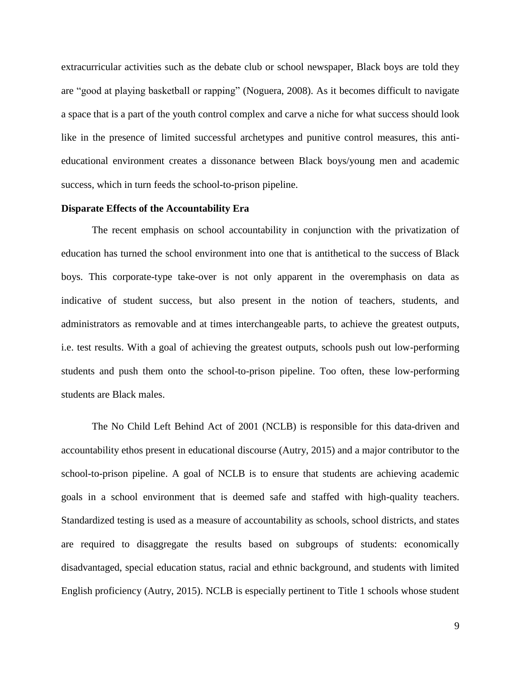extracurricular activities such as the debate club or school newspaper, Black boys are told they are "good at playing basketball or rapping" (Noguera, 2008). As it becomes difficult to navigate a space that is a part of the youth control complex and carve a niche for what success should look like in the presence of limited successful archetypes and punitive control measures, this antieducational environment creates a dissonance between Black boys/young men and academic success, which in turn feeds the school-to-prison pipeline.

## **Disparate Effects of the Accountability Era**

The recent emphasis on school accountability in conjunction with the privatization of education has turned the school environment into one that is antithetical to the success of Black boys. This corporate-type take-over is not only apparent in the overemphasis on data as indicative of student success, but also present in the notion of teachers, students, and administrators as removable and at times interchangeable parts, to achieve the greatest outputs, i.e. test results. With a goal of achieving the greatest outputs, schools push out low-performing students and push them onto the school-to-prison pipeline. Too often, these low-performing students are Black males.

The No Child Left Behind Act of 2001 (NCLB) is responsible for this data-driven and accountability ethos present in educational discourse (Autry, 2015) and a major contributor to the school-to-prison pipeline. A goal of NCLB is to ensure that students are achieving academic goals in a school environment that is deemed safe and staffed with high-quality teachers. Standardized testing is used as a measure of accountability as schools, school districts, and states are required to disaggregate the results based on subgroups of students: economically disadvantaged, special education status, racial and ethnic background, and students with limited English proficiency (Autry, 2015). NCLB is especially pertinent to Title 1 schools whose student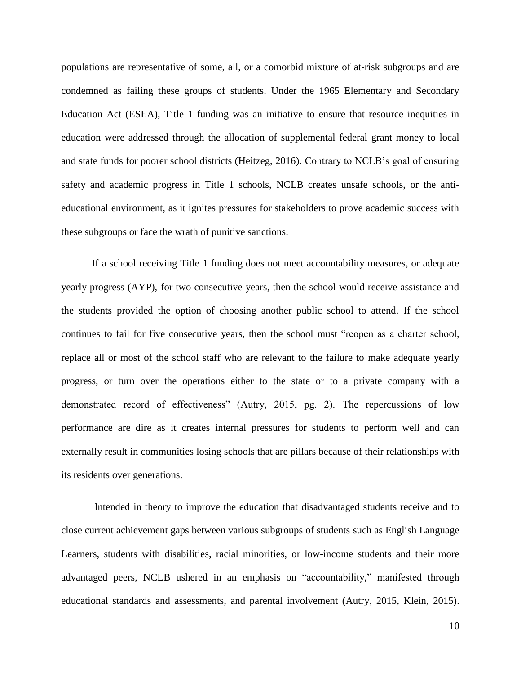populations are representative of some, all, or a comorbid mixture of at-risk subgroups and are condemned as failing these groups of students. Under the 1965 Elementary and Secondary Education Act (ESEA), Title 1 funding was an initiative to ensure that resource inequities in education were addressed through the allocation of supplemental federal grant money to local and state funds for poorer school districts (Heitzeg, 2016). Contrary to NCLB's goal of ensuring safety and academic progress in Title 1 schools, NCLB creates unsafe schools, or the antieducational environment, as it ignites pressures for stakeholders to prove academic success with these subgroups or face the wrath of punitive sanctions.

If a school receiving Title 1 funding does not meet accountability measures, or adequate yearly progress (AYP), for two consecutive years, then the school would receive assistance and the students provided the option of choosing another public school to attend. If the school continues to fail for five consecutive years, then the school must "reopen as a charter school, replace all or most of the school staff who are relevant to the failure to make adequate yearly progress, or turn over the operations either to the state or to a private company with a demonstrated record of effectiveness" (Autry, 2015, pg. 2). The repercussions of low performance are dire as it creates internal pressures for students to perform well and can externally result in communities losing schools that are pillars because of their relationships with its residents over generations.

Intended in theory to improve the education that disadvantaged students receive and to close current achievement gaps between various subgroups of students such as English Language Learners, students with disabilities, racial minorities, or low-income students and their more advantaged peers, NCLB ushered in an emphasis on "accountability," manifested through educational standards and assessments, and parental involvement (Autry, 2015, Klein, 2015).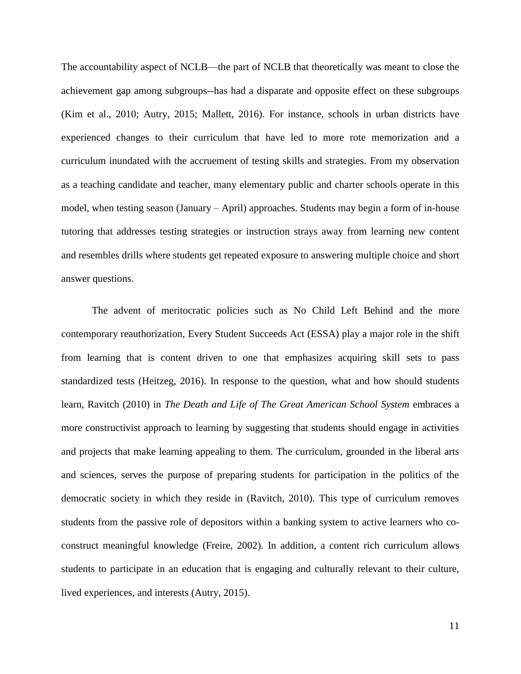The accountability aspect of NCLB—the part of NCLB that theoretically was meant to close the achievement gap among subgroups--has had a disparate and opposite effect on these subgroups (Kim et al., 2010; Autry, 2015; Mallett, 2016). For instance, schools in urban districts have experienced changes to their curriculum that have led to more rote memorization and a curriculum inundated with the accruement of testing skills and strategies. From my observation as a teaching candidate and teacher, many elementary public and charter schools operate in this model, when testing season (January – April) approaches. Students may begin a form of in-house tutoring that addresses testing strategies or instruction strays away from learning new content and resembles drills where students get repeated exposure to answering multiple choice and short answer questions.

The advent of meritocratic policies such as No Child Left Behind and the more contemporary reauthorization, Every Student Succeeds Act (ESSA) play a major role in the shift from learning that is content driven to one that emphasizes acquiring skill sets to pass standardized tests (Heitzeg, 2016). In response to the question, what and how should students learn, Ravitch (2010) in *The Death and Life of The Great American School System embraces a* more constructivist approach to learning by suggesting that students should engage in activities and projects that make learning appealing to them. The curriculum, grounded in the liberal arts and sciences, serves the purpose of preparing students for participation in the politics of the democratic society in which they reside in (Ravitch, 2010). This type of curriculum removes students from the passive role of depositors within a banking system to active learners who coconstruct meaningful knowledge (Freire, 2002). In addition, a content rich curriculum allows students to participate in an education that is engaging and culturally relevant to their culture, lived experiences, and interests (Autry, 2015).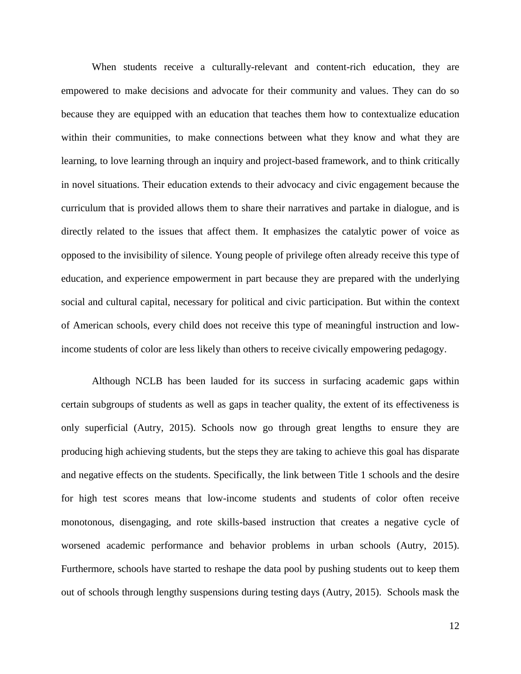When students receive a culturally-relevant and content-rich education, they are empowered to make decisions and advocate for their community and values. They can do so because they are equipped with an education that teaches them how to contextualize education within their communities, to make connections between what they know and what they are learning, to love learning through an inquiry and project-based framework, and to think critically in novel situations. Their education extends to their advocacy and civic engagement because the curriculum that is provided allows them to share their narratives and partake in dialogue, and is directly related to the issues that affect them. It emphasizes the catalytic power of voice as opposed to the invisibility of silence. Young people of privilege often already receive this type of education, and experience empowerment in part because they are prepared with the underlying social and cultural capital, necessary for political and civic participation. But within the context of American schools, every child does not receive this type of meaningful instruction and lowincome students of color are less likely than others to receive civically empowering pedagogy.

Although NCLB has been lauded for its success in surfacing academic gaps within certain subgroups of students as well as gaps in teacher quality, the extent of its effectiveness is only superficial (Autry, 2015). Schools now go through great lengths to ensure they are producing high achieving students, but the steps they are taking to achieve this goal has disparate and negative effects on the students. Specifically, the link between Title 1 schools and the desire for high test scores means that low-income students and students of color often receive monotonous, disengaging, and rote skills-based instruction that creates a negative cycle of worsened academic performance and behavior problems in urban schools (Autry, 2015). Furthermore, schools have started to reshape the data pool by pushing students out to keep them out of schools through lengthy suspensions during testing days (Autry, 2015). Schools mask the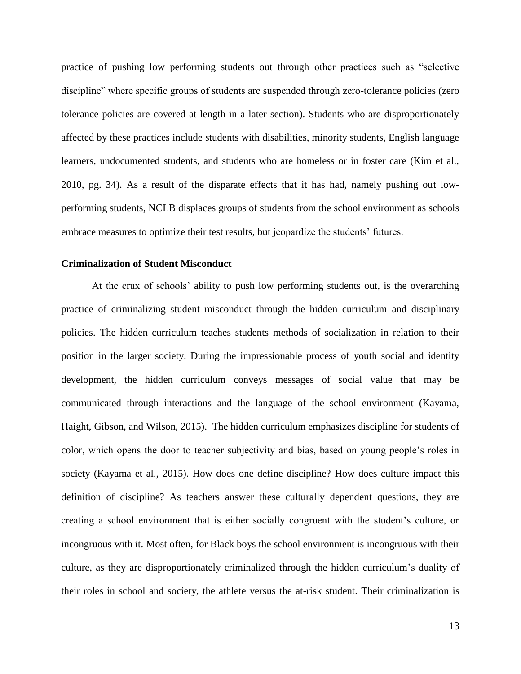practice of pushing low performing students out through other practices such as "selective discipline" where specific groups of students are suspended through zero-tolerance policies (zero tolerance policies are covered at length in a later section). Students who are disproportionately affected by these practices include students with disabilities, minority students, English language learners, undocumented students, and students who are homeless or in foster care (Kim et al., 2010, pg. 34). As a result of the disparate effects that it has had, namely pushing out lowperforming students, NCLB displaces groups of students from the school environment as schools embrace measures to optimize their test results, but jeopardize the students' futures.

# **Criminalization of Student Misconduct**

At the crux of schools' ability to push low performing students out, is the overarching practice of criminalizing student misconduct through the hidden curriculum and disciplinary policies. The hidden curriculum teaches students methods of socialization in relation to their position in the larger society. During the impressionable process of youth social and identity development, the hidden curriculum conveys messages of social value that may be communicated through interactions and the language of the school environment (Kayama, Haight, Gibson, and Wilson, 2015). The hidden curriculum emphasizes discipline for students of color, which opens the door to teacher subjectivity and bias, based on young people's roles in society (Kayama et al., 2015). How does one define discipline? How does culture impact this definition of discipline? As teachers answer these culturally dependent questions, they are creating a school environment that is either socially congruent with the student's culture, or incongruous with it. Most often, for Black boys the school environment is incongruous with their culture, as they are disproportionately criminalized through the hidden curriculum's duality of their roles in school and society, the athlete versus the at-risk student. Their criminalization is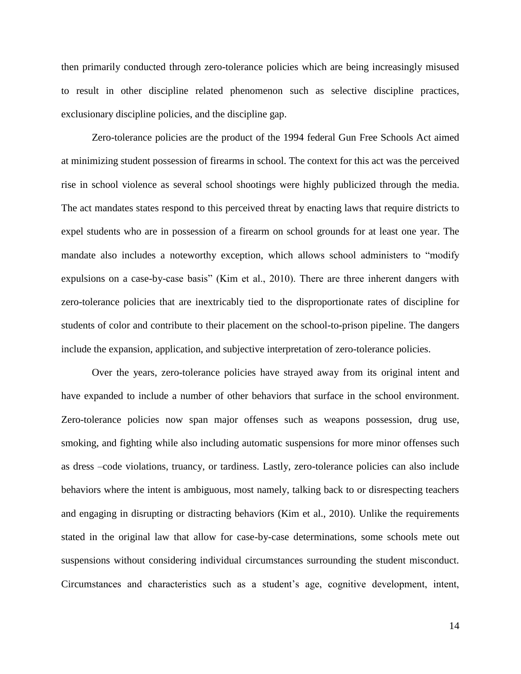then primarily conducted through zero-tolerance policies which are being increasingly misused to result in other discipline related phenomenon such as selective discipline practices, exclusionary discipline policies, and the discipline gap.

Zero-tolerance policies are the product of the 1994 federal Gun Free Schools Act aimed at minimizing student possession of firearms in school. The context for this act was the perceived rise in school violence as several school shootings were highly publicized through the media. The act mandates states respond to this perceived threat by enacting laws that require districts to expel students who are in possession of a firearm on school grounds for at least one year. The mandate also includes a noteworthy exception, which allows school administers to "modify expulsions on a case-by-case basis" (Kim et al., 2010). There are three inherent dangers with zero-tolerance policies that are inextricably tied to the disproportionate rates of discipline for students of color and contribute to their placement on the school-to-prison pipeline. The dangers include the expansion, application, and subjective interpretation of zero-tolerance policies.

Over the years, zero-tolerance policies have strayed away from its original intent and have expanded to include a number of other behaviors that surface in the school environment. Zero-tolerance policies now span major offenses such as weapons possession, drug use, smoking, and fighting while also including automatic suspensions for more minor offenses such as dress –code violations, truancy, or tardiness. Lastly, zero-tolerance policies can also include behaviors where the intent is ambiguous, most namely, talking back to or disrespecting teachers and engaging in disrupting or distracting behaviors (Kim et al., 2010). Unlike the requirements stated in the original law that allow for case-by-case determinations, some schools mete out suspensions without considering individual circumstances surrounding the student misconduct. Circumstances and characteristics such as a student's age, cognitive development, intent,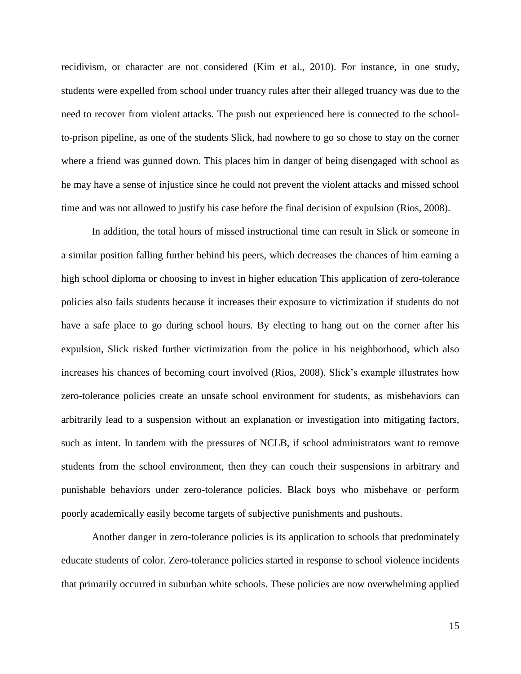recidivism, or character are not considered (Kim et al., 2010). For instance, in one study, students were expelled from school under truancy rules after their alleged truancy was due to the need to recover from violent attacks. The push out experienced here is connected to the schoolto-prison pipeline, as one of the students Slick, had nowhere to go so chose to stay on the corner where a friend was gunned down. This places him in danger of being disengaged with school as he may have a sense of injustice since he could not prevent the violent attacks and missed school time and was not allowed to justify his case before the final decision of expulsion (Rios, 2008).

In addition, the total hours of missed instructional time can result in Slick or someone in a similar position falling further behind his peers, which decreases the chances of him earning a high school diploma or choosing to invest in higher education This application of zero-tolerance policies also fails students because it increases their exposure to victimization if students do not have a safe place to go during school hours. By electing to hang out on the corner after his expulsion, Slick risked further victimization from the police in his neighborhood, which also increases his chances of becoming court involved (Rios, 2008). Slick's example illustrates how zero-tolerance policies create an unsafe school environment for students, as misbehaviors can arbitrarily lead to a suspension without an explanation or investigation into mitigating factors, such as intent. In tandem with the pressures of NCLB, if school administrators want to remove students from the school environment, then they can couch their suspensions in arbitrary and punishable behaviors under zero-tolerance policies. Black boys who misbehave or perform poorly academically easily become targets of subjective punishments and pushouts.

Another danger in zero-tolerance policies is its application to schools that predominately educate students of color. Zero-tolerance policies started in response to school violence incidents that primarily occurred in suburban white schools. These policies are now overwhelming applied

15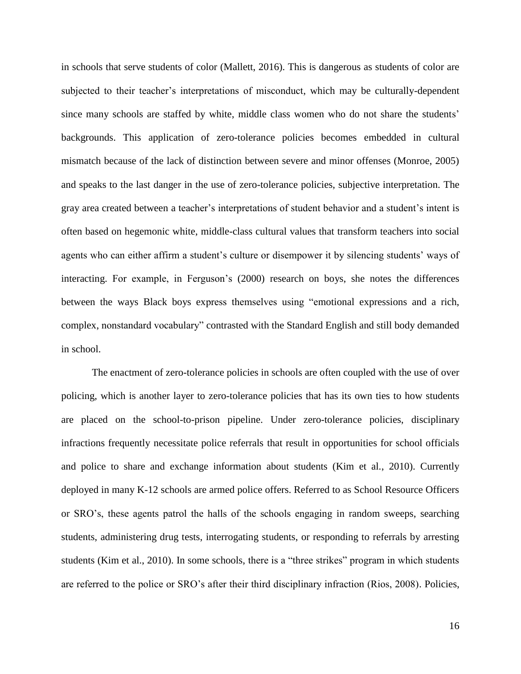in schools that serve students of color (Mallett, 2016). This is dangerous as students of color are subjected to their teacher's interpretations of misconduct, which may be culturally-dependent since many schools are staffed by white, middle class women who do not share the students' backgrounds. This application of zero-tolerance policies becomes embedded in cultural mismatch because of the lack of distinction between severe and minor offenses (Monroe, 2005) and speaks to the last danger in the use of zero-tolerance policies, subjective interpretation. The gray area created between a teacher's interpretations of student behavior and a student's intent is often based on hegemonic white, middle-class cultural values that transform teachers into social agents who can either affirm a student's culture or disempower it by silencing students' ways of interacting. For example, in Ferguson's (2000) research on boys, she notes the differences between the ways Black boys express themselves using "emotional expressions and a rich, complex, nonstandard vocabulary" contrasted with the Standard English and still body demanded in school.

The enactment of zero-tolerance policies in schools are often coupled with the use of over policing, which is another layer to zero-tolerance policies that has its own ties to how students are placed on the school-to-prison pipeline. Under zero-tolerance policies, disciplinary infractions frequently necessitate police referrals that result in opportunities for school officials and police to share and exchange information about students (Kim et al., 2010). Currently deployed in many K-12 schools are armed police offers. Referred to as School Resource Officers or SRO's, these agents patrol the halls of the schools engaging in random sweeps, searching students, administering drug tests, interrogating students, or responding to referrals by arresting students (Kim et al., 2010). In some schools, there is a "three strikes" program in which students are referred to the police or SRO's after their third disciplinary infraction (Rios, 2008). Policies,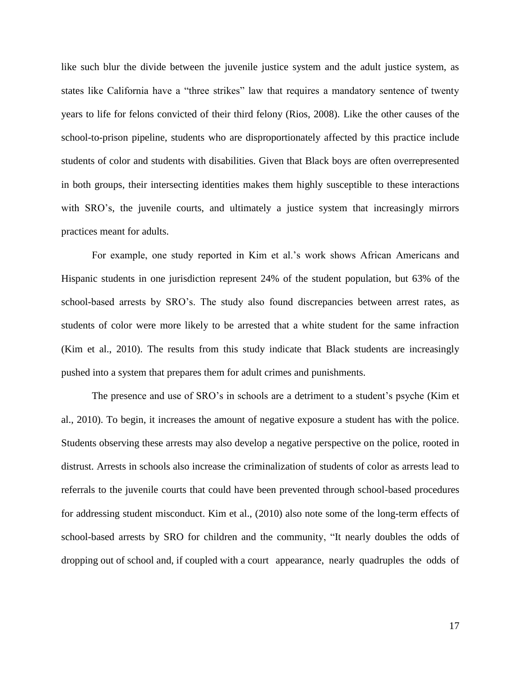like such blur the divide between the juvenile justice system and the adult justice system, as states like California have a "three strikes" law that requires a mandatory sentence of twenty years to life for felons convicted of their third felony (Rios, 2008). Like the other causes of the school-to-prison pipeline, students who are disproportionately affected by this practice include students of color and students with disabilities. Given that Black boys are often overrepresented in both groups, their intersecting identities makes them highly susceptible to these interactions with SRO's, the juvenile courts, and ultimately a justice system that increasingly mirrors practices meant for adults.

For example, one study reported in Kim et al.'s work shows African Americans and Hispanic students in one jurisdiction represent 24% of the student population, but 63% of the school-based arrests by SRO's. The study also found discrepancies between arrest rates, as students of color were more likely to be arrested that a white student for the same infraction (Kim et al., 2010). The results from this study indicate that Black students are increasingly pushed into a system that prepares them for adult crimes and punishments.

The presence and use of SRO's in schools are a detriment to a student's psyche (Kim et al., 2010). To begin, it increases the amount of negative exposure a student has with the police. Students observing these arrests may also develop a negative perspective on the police, rooted in distrust. Arrests in schools also increase the criminalization of students of color as arrests lead to referrals to the juvenile courts that could have been prevented through school-based procedures for addressing student misconduct. Kim et al., (2010) also note some of the long-term effects of school-based arrests by SRO for children and the community, "It nearly doubles the odds of dropping out of school and, if coupled with a court appearance, nearly quadruples the odds of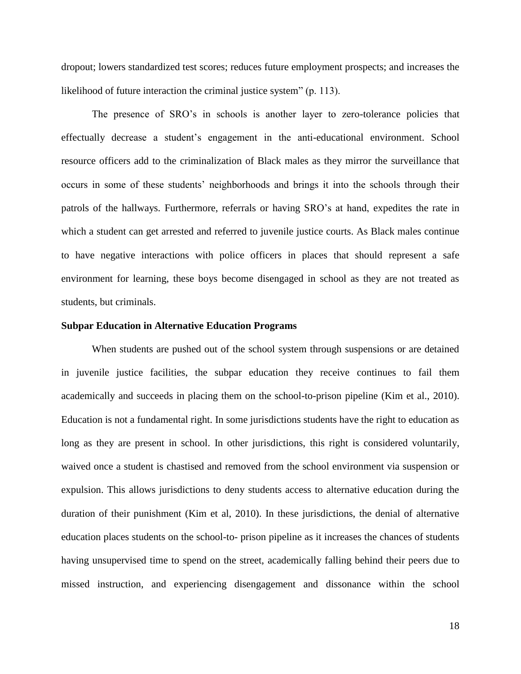dropout; lowers standardized test scores; reduces future employment prospects; and increases the likelihood of future interaction the criminal justice system" (p. 113).

The presence of SRO's in schools is another layer to zero-tolerance policies that effectually decrease a student's engagement in the anti-educational environment. School resource officers add to the criminalization of Black males as they mirror the surveillance that occurs in some of these students' neighborhoods and brings it into the schools through their patrols of the hallways. Furthermore, referrals or having SRO's at hand, expedites the rate in which a student can get arrested and referred to juvenile justice courts. As Black males continue to have negative interactions with police officers in places that should represent a safe environment for learning, these boys become disengaged in school as they are not treated as students, but criminals.

## **Subpar Education in Alternative Education Programs**

When students are pushed out of the school system through suspensions or are detained in juvenile justice facilities, the subpar education they receive continues to fail them academically and succeeds in placing them on the school-to-prison pipeline (Kim et al., 2010). Education is not a fundamental right. In some jurisdictions students have the right to education as long as they are present in school. In other jurisdictions, this right is considered voluntarily, waived once a student is chastised and removed from the school environment via suspension or expulsion. This allows jurisdictions to deny students access to alternative education during the duration of their punishment (Kim et al, 2010). In these jurisdictions, the denial of alternative education places students on the school-to- prison pipeline as it increases the chances of students having unsupervised time to spend on the street, academically falling behind their peers due to missed instruction, and experiencing disengagement and dissonance within the school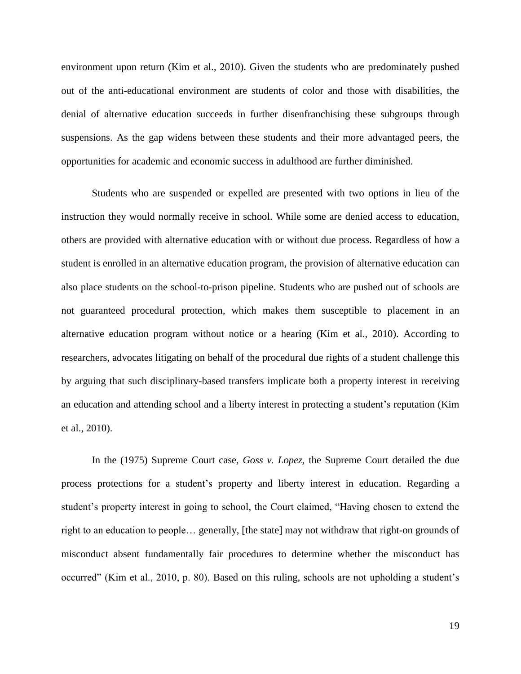environment upon return (Kim et al., 2010). Given the students who are predominately pushed out of the anti-educational environment are students of color and those with disabilities, the denial of alternative education succeeds in further disenfranchising these subgroups through suspensions. As the gap widens between these students and their more advantaged peers, the opportunities for academic and economic success in adulthood are further diminished.

Students who are suspended or expelled are presented with two options in lieu of the instruction they would normally receive in school. While some are denied access to education, others are provided with alternative education with or without due process. Regardless of how a student is enrolled in an alternative education program, the provision of alternative education can also place students on the school-to-prison pipeline. Students who are pushed out of schools are not guaranteed procedural protection, which makes them susceptible to placement in an alternative education program without notice or a hearing (Kim et al., 2010). According to researchers, advocates litigating on behalf of the procedural due rights of a student challenge this by arguing that such disciplinary-based transfers implicate both a property interest in receiving an education and attending school and a liberty interest in protecting a student's reputation (Kim et al., 2010).

In the (1975) Supreme Court case, *Goss v. Lopez,* the Supreme Court detailed the due process protections for a student's property and liberty interest in education. Regarding a student's property interest in going to school, the Court claimed, "Having chosen to extend the right to an education to people… generally, [the state] may not withdraw that right-on grounds of misconduct absent fundamentally fair procedures to determine whether the misconduct has occurred" (Kim et al., 2010, p. 80). Based on this ruling, schools are not upholding a student's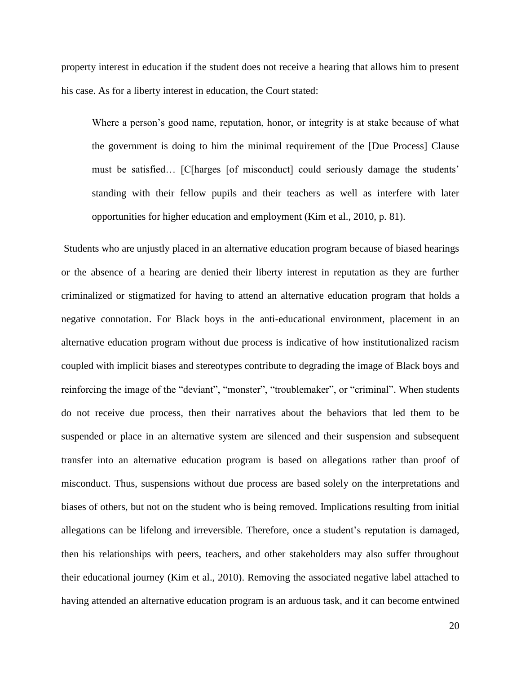property interest in education if the student does not receive a hearing that allows him to present his case. As for a liberty interest in education, the Court stated:

Where a person's good name, reputation, honor, or integrity is at stake because of what the government is doing to him the minimal requirement of the [Due Process] Clause must be satisfied… [C[harges [of misconduct] could seriously damage the students' standing with their fellow pupils and their teachers as well as interfere with later opportunities for higher education and employment (Kim et al., 2010, p. 81).

Students who are unjustly placed in an alternative education program because of biased hearings or the absence of a hearing are denied their liberty interest in reputation as they are further criminalized or stigmatized for having to attend an alternative education program that holds a negative connotation. For Black boys in the anti-educational environment, placement in an alternative education program without due process is indicative of how institutionalized racism coupled with implicit biases and stereotypes contribute to degrading the image of Black boys and reinforcing the image of the "deviant", "monster", "troublemaker", or "criminal". When students do not receive due process, then their narratives about the behaviors that led them to be suspended or place in an alternative system are silenced and their suspension and subsequent transfer into an alternative education program is based on allegations rather than proof of misconduct. Thus, suspensions without due process are based solely on the interpretations and biases of others, but not on the student who is being removed. Implications resulting from initial allegations can be lifelong and irreversible. Therefore, once a student's reputation is damaged, then his relationships with peers, teachers, and other stakeholders may also suffer throughout their educational journey (Kim et al., 2010). Removing the associated negative label attached to having attended an alternative education program is an arduous task, and it can become entwined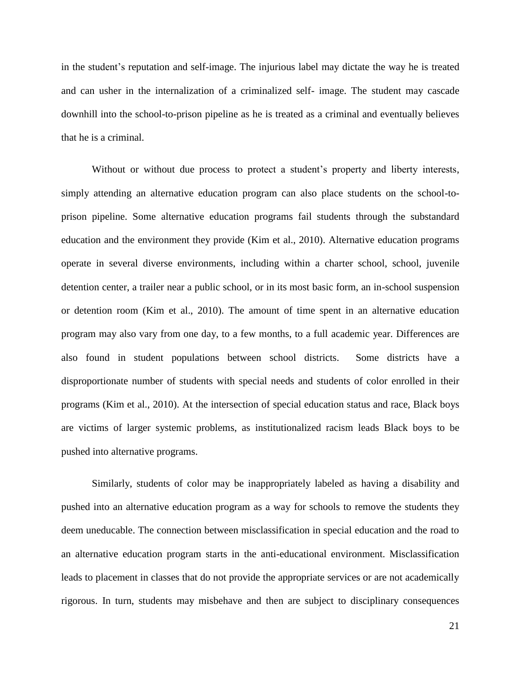in the student's reputation and self-image. The injurious label may dictate the way he is treated and can usher in the internalization of a criminalized self- image. The student may cascade downhill into the school-to-prison pipeline as he is treated as a criminal and eventually believes that he is a criminal.

Without or without due process to protect a student's property and liberty interests, simply attending an alternative education program can also place students on the school-toprison pipeline. Some alternative education programs fail students through the substandard education and the environment they provide (Kim et al., 2010). Alternative education programs operate in several diverse environments, including within a charter school, school, juvenile detention center, a trailer near a public school, or in its most basic form, an in-school suspension or detention room (Kim et al., 2010). The amount of time spent in an alternative education program may also vary from one day, to a few months, to a full academic year. Differences are also found in student populations between school districts. Some districts have a disproportionate number of students with special needs and students of color enrolled in their programs (Kim et al., 2010). At the intersection of special education status and race, Black boys are victims of larger systemic problems, as institutionalized racism leads Black boys to be pushed into alternative programs.

Similarly, students of color may be inappropriately labeled as having a disability and pushed into an alternative education program as a way for schools to remove the students they deem uneducable. The connection between misclassification in special education and the road to an alternative education program starts in the anti-educational environment. Misclassification leads to placement in classes that do not provide the appropriate services or are not academically rigorous. In turn, students may misbehave and then are subject to disciplinary consequences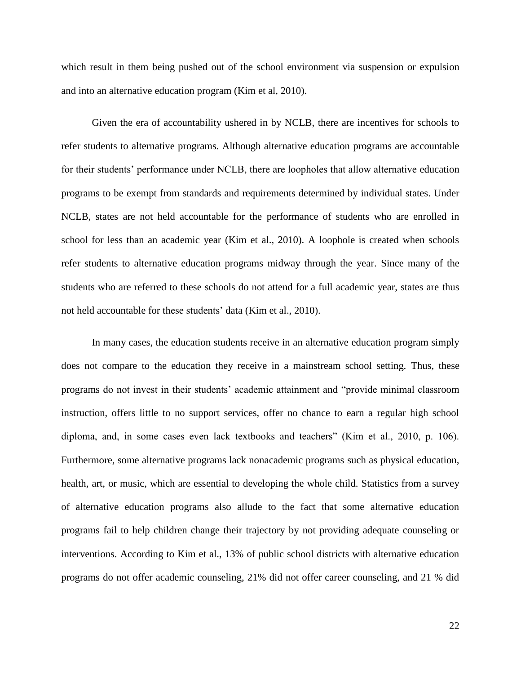which result in them being pushed out of the school environment via suspension or expulsion and into an alternative education program (Kim et al, 2010).

Given the era of accountability ushered in by NCLB, there are incentives for schools to refer students to alternative programs. Although alternative education programs are accountable for their students' performance under NCLB, there are loopholes that allow alternative education programs to be exempt from standards and requirements determined by individual states. Under NCLB, states are not held accountable for the performance of students who are enrolled in school for less than an academic year (Kim et al., 2010). A loophole is created when schools refer students to alternative education programs midway through the year. Since many of the students who are referred to these schools do not attend for a full academic year, states are thus not held accountable for these students' data (Kim et al., 2010).

In many cases, the education students receive in an alternative education program simply does not compare to the education they receive in a mainstream school setting. Thus, these programs do not invest in their students' academic attainment and "provide minimal classroom instruction, offers little to no support services, offer no chance to earn a regular high school diploma, and, in some cases even lack textbooks and teachers" (Kim et al., 2010, p. 106). Furthermore, some alternative programs lack nonacademic programs such as physical education, health, art, or music, which are essential to developing the whole child. Statistics from a survey of alternative education programs also allude to the fact that some alternative education programs fail to help children change their trajectory by not providing adequate counseling or interventions. According to Kim et al., 13% of public school districts with alternative education programs do not offer academic counseling, 21% did not offer career counseling, and 21 % did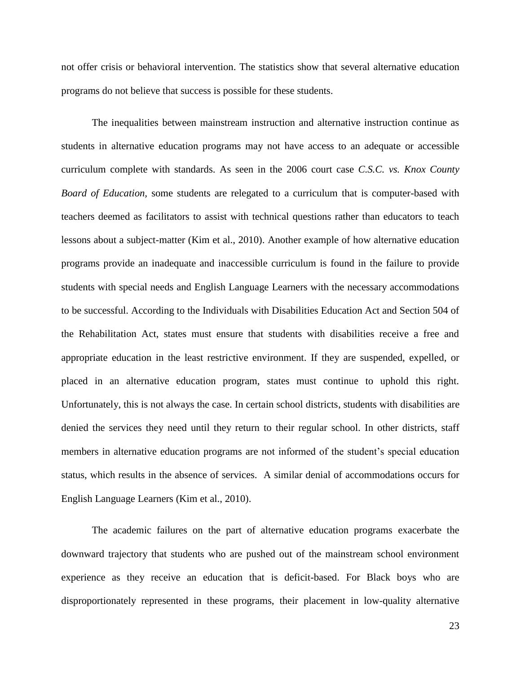not offer crisis or behavioral intervention. The statistics show that several alternative education programs do not believe that success is possible for these students.

The inequalities between mainstream instruction and alternative instruction continue as students in alternative education programs may not have access to an adequate or accessible curriculum complete with standards. As seen in the 2006 court case *C.S.C. vs. Knox County Board of Education,* some students are relegated to a curriculum that is computer-based with teachers deemed as facilitators to assist with technical questions rather than educators to teach lessons about a subject-matter (Kim et al., 2010). Another example of how alternative education programs provide an inadequate and inaccessible curriculum is found in the failure to provide students with special needs and English Language Learners with the necessary accommodations to be successful. According to the Individuals with Disabilities Education Act and Section 504 of the Rehabilitation Act, states must ensure that students with disabilities receive a free and appropriate education in the least restrictive environment. If they are suspended, expelled, or placed in an alternative education program, states must continue to uphold this right. Unfortunately, this is not always the case. In certain school districts, students with disabilities are denied the services they need until they return to their regular school. In other districts, staff members in alternative education programs are not informed of the student's special education status, which results in the absence of services. A similar denial of accommodations occurs for English Language Learners (Kim et al., 2010).

The academic failures on the part of alternative education programs exacerbate the downward trajectory that students who are pushed out of the mainstream school environment experience as they receive an education that is deficit-based. For Black boys who are disproportionately represented in these programs, their placement in low-quality alternative

23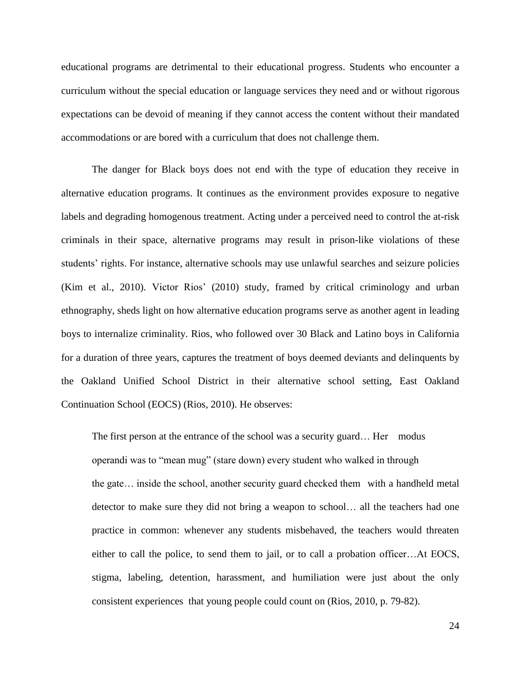educational programs are detrimental to their educational progress. Students who encounter a curriculum without the special education or language services they need and or without rigorous expectations can be devoid of meaning if they cannot access the content without their mandated accommodations or are bored with a curriculum that does not challenge them.

The danger for Black boys does not end with the type of education they receive in alternative education programs. It continues as the environment provides exposure to negative labels and degrading homogenous treatment. Acting under a perceived need to control the at-risk criminals in their space, alternative programs may result in prison-like violations of these students' rights. For instance, alternative schools may use unlawful searches and seizure policies (Kim et al., 2010). Victor Rios' (2010) study, framed by critical criminology and urban ethnography, sheds light on how alternative education programs serve as another agent in leading boys to internalize criminality. Rios, who followed over 30 Black and Latino boys in California for a duration of three years, captures the treatment of boys deemed deviants and delinquents by the Oakland Unified School District in their alternative school setting, East Oakland Continuation School (EOCS) (Rios, 2010). He observes:

The first person at the entrance of the school was a security guard… Her modus operandi was to "mean mug" (stare down) every student who walked in through the gate… inside the school, another security guard checked them with a handheld metal detector to make sure they did not bring a weapon to school… all the teachers had one practice in common: whenever any students misbehaved, the teachers would threaten either to call the police, to send them to jail, or to call a probation officer…At EOCS, stigma, labeling, detention, harassment, and humiliation were just about the only consistent experiences that young people could count on (Rios, 2010, p. 79-82).

24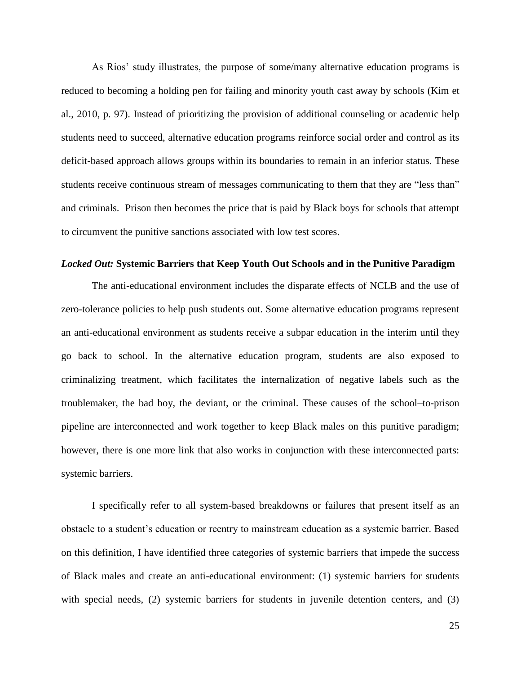As Rios' study illustrates, the purpose of some/many alternative education programs is reduced to becoming a holding pen for failing and minority youth cast away by schools (Kim et al., 2010, p. 97). Instead of prioritizing the provision of additional counseling or academic help students need to succeed, alternative education programs reinforce social order and control as its deficit-based approach allows groups within its boundaries to remain in an inferior status. These students receive continuous stream of messages communicating to them that they are "less than" and criminals. Prison then becomes the price that is paid by Black boys for schools that attempt to circumvent the punitive sanctions associated with low test scores.

# *Locked Out:* **Systemic Barriers that Keep Youth Out Schools and in the Punitive Paradigm**

The anti-educational environment includes the disparate effects of NCLB and the use of zero-tolerance policies to help push students out. Some alternative education programs represent an anti-educational environment as students receive a subpar education in the interim until they go back to school. In the alternative education program, students are also exposed to criminalizing treatment, which facilitates the internalization of negative labels such as the troublemaker, the bad boy, the deviant, or the criminal. These causes of the school–to-prison pipeline are interconnected and work together to keep Black males on this punitive paradigm; however, there is one more link that also works in conjunction with these interconnected parts: systemic barriers.

I specifically refer to all system-based breakdowns or failures that present itself as an obstacle to a student's education or reentry to mainstream education as a systemic barrier. Based on this definition, I have identified three categories of systemic barriers that impede the success of Black males and create an anti-educational environment: (1) systemic barriers for students with special needs, (2) systemic barriers for students in juvenile detention centers, and (3)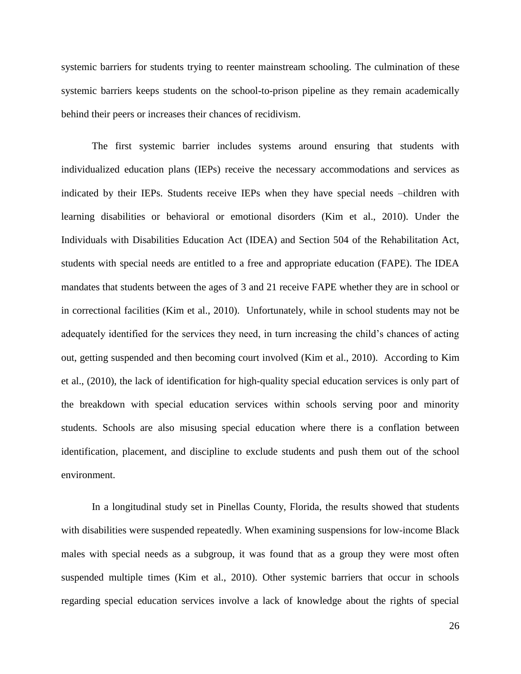systemic barriers for students trying to reenter mainstream schooling. The culmination of these systemic barriers keeps students on the school-to-prison pipeline as they remain academically behind their peers or increases their chances of recidivism.

The first systemic barrier includes systems around ensuring that students with individualized education plans (IEPs) receive the necessary accommodations and services as indicated by their IEPs. Students receive IEPs when they have special needs –children with learning disabilities or behavioral or emotional disorders (Kim et al., 2010). Under the Individuals with Disabilities Education Act (IDEA) and Section 504 of the Rehabilitation Act, students with special needs are entitled to a free and appropriate education (FAPE). The IDEA mandates that students between the ages of 3 and 21 receive FAPE whether they are in school or in correctional facilities (Kim et al., 2010). Unfortunately, while in school students may not be adequately identified for the services they need, in turn increasing the child's chances of acting out, getting suspended and then becoming court involved (Kim et al., 2010). According to Kim et al., (2010), the lack of identification for high-quality special education services is only part of the breakdown with special education services within schools serving poor and minority students. Schools are also misusing special education where there is a conflation between identification, placement, and discipline to exclude students and push them out of the school environment.

In a longitudinal study set in Pinellas County, Florida, the results showed that students with disabilities were suspended repeatedly. When examining suspensions for low-income Black males with special needs as a subgroup, it was found that as a group they were most often suspended multiple times (Kim et al., 2010). Other systemic barriers that occur in schools regarding special education services involve a lack of knowledge about the rights of special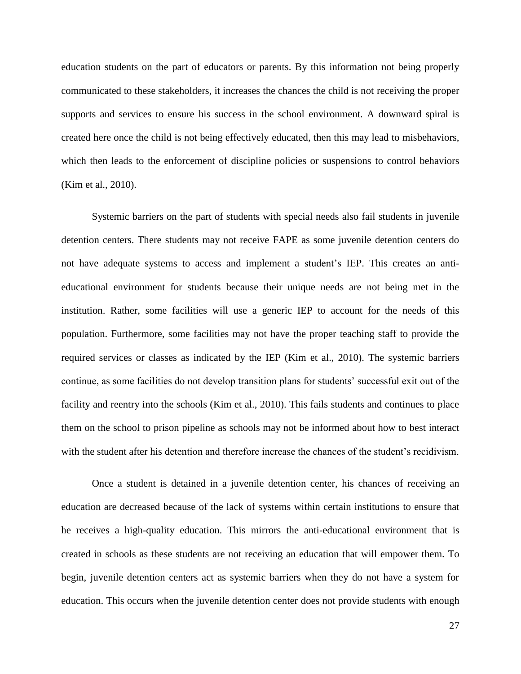education students on the part of educators or parents. By this information not being properly communicated to these stakeholders, it increases the chances the child is not receiving the proper supports and services to ensure his success in the school environment. A downward spiral is created here once the child is not being effectively educated, then this may lead to misbehaviors, which then leads to the enforcement of discipline policies or suspensions to control behaviors (Kim et al., 2010).

Systemic barriers on the part of students with special needs also fail students in juvenile detention centers. There students may not receive FAPE as some juvenile detention centers do not have adequate systems to access and implement a student's IEP. This creates an antieducational environment for students because their unique needs are not being met in the institution. Rather, some facilities will use a generic IEP to account for the needs of this population. Furthermore, some facilities may not have the proper teaching staff to provide the required services or classes as indicated by the IEP (Kim et al., 2010). The systemic barriers continue, as some facilities do not develop transition plans for students' successful exit out of the facility and reentry into the schools (Kim et al., 2010). This fails students and continues to place them on the school to prison pipeline as schools may not be informed about how to best interact with the student after his detention and therefore increase the chances of the student's recidivism.

Once a student is detained in a juvenile detention center, his chances of receiving an education are decreased because of the lack of systems within certain institutions to ensure that he receives a high-quality education. This mirrors the anti-educational environment that is created in schools as these students are not receiving an education that will empower them. To begin, juvenile detention centers act as systemic barriers when they do not have a system for education. This occurs when the juvenile detention center does not provide students with enough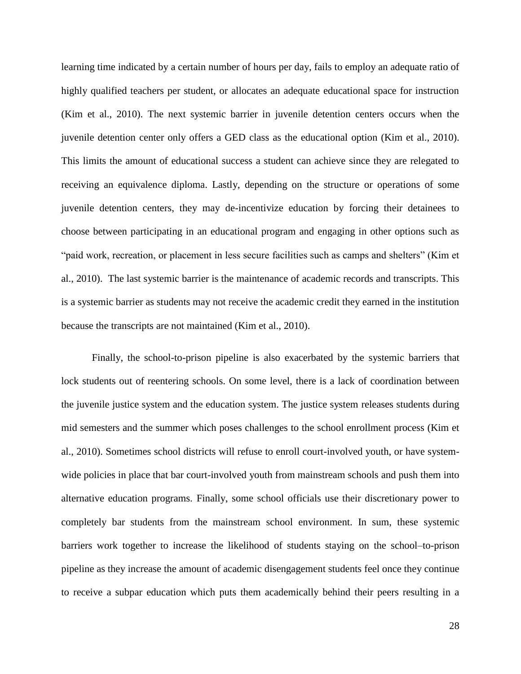learning time indicated by a certain number of hours per day, fails to employ an adequate ratio of highly qualified teachers per student, or allocates an adequate educational space for instruction (Kim et al., 2010). The next systemic barrier in juvenile detention centers occurs when the juvenile detention center only offers a GED class as the educational option (Kim et al., 2010). This limits the amount of educational success a student can achieve since they are relegated to receiving an equivalence diploma. Lastly, depending on the structure or operations of some juvenile detention centers, they may de-incentivize education by forcing their detainees to choose between participating in an educational program and engaging in other options such as "paid work, recreation, or placement in less secure facilities such as camps and shelters" (Kim et al., 2010). The last systemic barrier is the maintenance of academic records and transcripts. This is a systemic barrier as students may not receive the academic credit they earned in the institution because the transcripts are not maintained (Kim et al., 2010).

Finally, the school-to-prison pipeline is also exacerbated by the systemic barriers that lock students out of reentering schools. On some level, there is a lack of coordination between the juvenile justice system and the education system. The justice system releases students during mid semesters and the summer which poses challenges to the school enrollment process (Kim et al., 2010). Sometimes school districts will refuse to enroll court-involved youth, or have systemwide policies in place that bar court-involved youth from mainstream schools and push them into alternative education programs. Finally, some school officials use their discretionary power to completely bar students from the mainstream school environment. In sum, these systemic barriers work together to increase the likelihood of students staying on the school–to-prison pipeline as they increase the amount of academic disengagement students feel once they continue to receive a subpar education which puts them academically behind their peers resulting in a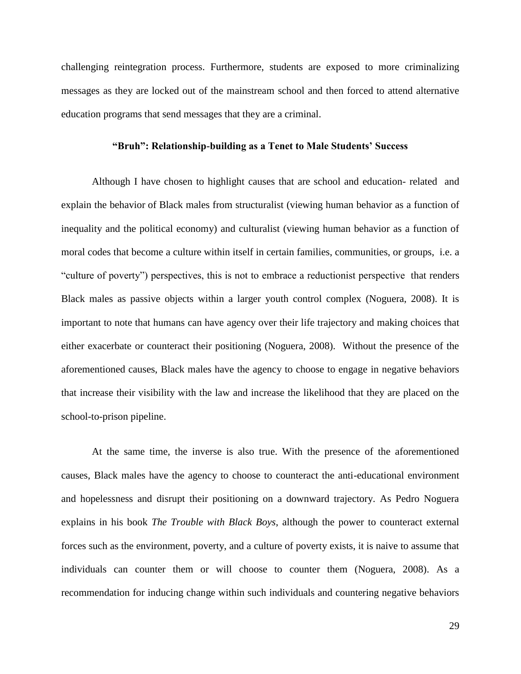challenging reintegration process. Furthermore, students are exposed to more criminalizing messages as they are locked out of the mainstream school and then forced to attend alternative education programs that send messages that they are a criminal.

# **"Bruh": Relationship-building as a Tenet to Male Students' Success**

Although I have chosen to highlight causes that are school and education- related and explain the behavior of Black males from structuralist (viewing human behavior as a function of inequality and the political economy) and culturalist (viewing human behavior as a function of moral codes that become a culture within itself in certain families, communities, or groups, i.e. a "culture of poverty") perspectives, this is not to embrace a reductionist perspective that renders Black males as passive objects within a larger youth control complex (Noguera, 2008). It is important to note that humans can have agency over their life trajectory and making choices that either exacerbate or counteract their positioning (Noguera, 2008). Without the presence of the aforementioned causes, Black males have the agency to choose to engage in negative behaviors that increase their visibility with the law and increase the likelihood that they are placed on the school-to-prison pipeline.

At the same time, the inverse is also true. With the presence of the aforementioned causes, Black males have the agency to choose to counteract the anti-educational environment and hopelessness and disrupt their positioning on a downward trajectory. As Pedro Noguera explains in his book *The Trouble with Black Boys*, although the power to counteract external forces such as the environment, poverty, and a culture of poverty exists, it is naive to assume that individuals can counter them or will choose to counter them (Noguera, 2008). As a recommendation for inducing change within such individuals and countering negative behaviors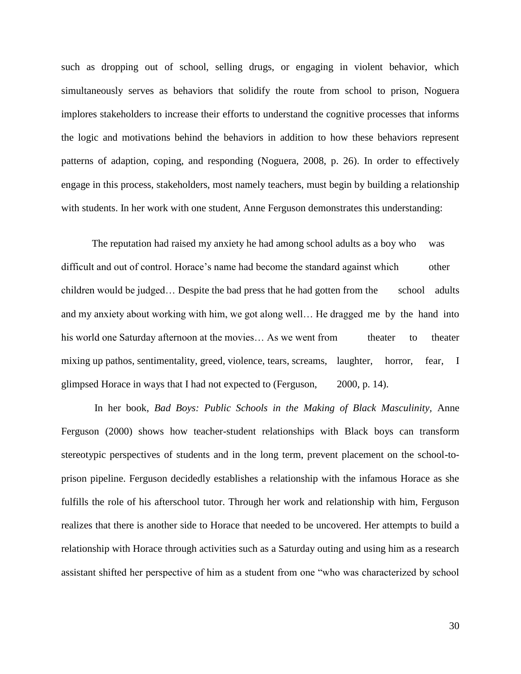such as dropping out of school, selling drugs, or engaging in violent behavior, which simultaneously serves as behaviors that solidify the route from school to prison, Noguera implores stakeholders to increase their efforts to understand the cognitive processes that informs the logic and motivations behind the behaviors in addition to how these behaviors represent patterns of adaption, coping, and responding (Noguera, 2008, p. 26). In order to effectively engage in this process, stakeholders, most namely teachers, must begin by building a relationship with students. In her work with one student, Anne Ferguson demonstrates this understanding:

The reputation had raised my anxiety he had among school adults as a boy who was difficult and out of control. Horace's name had become the standard against which other children would be judged... Despite the bad press that he had gotten from the school adults and my anxiety about working with him, we got along well… He dragged me by the hand into his world one Saturday afternoon at the movies... As we went from theater to theater mixing up pathos, sentimentality, greed, violence, tears, screams, laughter, horror, fear, I glimpsed Horace in ways that I had not expected to (Ferguson, 2000, p. 14).

In her book, *Bad Boys: Public Schools in the Making of Black Masculinity,* Anne Ferguson (2000) shows how teacher-student relationships with Black boys can transform stereotypic perspectives of students and in the long term, prevent placement on the school-toprison pipeline. Ferguson decidedly establishes a relationship with the infamous Horace as she fulfills the role of his afterschool tutor. Through her work and relationship with him, Ferguson realizes that there is another side to Horace that needed to be uncovered. Her attempts to build a relationship with Horace through activities such as a Saturday outing and using him as a research assistant shifted her perspective of him as a student from one "who was characterized by school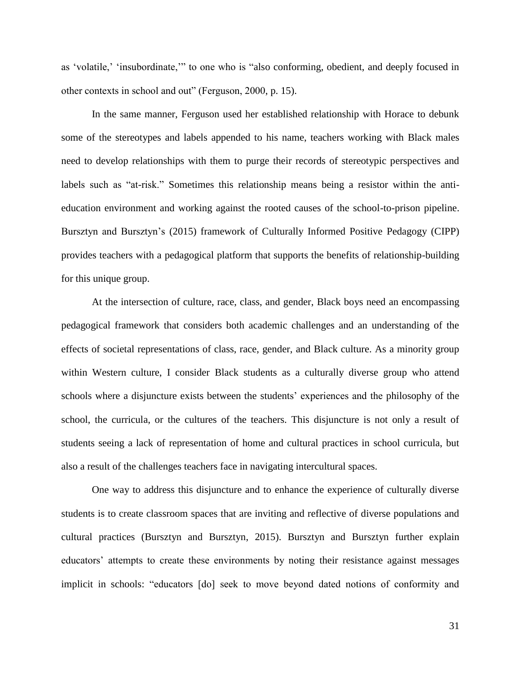as 'volatile,' 'insubordinate,'" to one who is "also conforming, obedient, and deeply focused in other contexts in school and out" (Ferguson, 2000, p. 15).

In the same manner, Ferguson used her established relationship with Horace to debunk some of the stereotypes and labels appended to his name, teachers working with Black males need to develop relationships with them to purge their records of stereotypic perspectives and labels such as "at-risk." Sometimes this relationship means being a resistor within the antieducation environment and working against the rooted causes of the school-to-prison pipeline. Bursztyn and Bursztyn's (2015) framework of Culturally Informed Positive Pedagogy (CIPP) provides teachers with a pedagogical platform that supports the benefits of relationship-building for this unique group.

At the intersection of culture, race, class, and gender, Black boys need an encompassing pedagogical framework that considers both academic challenges and an understanding of the effects of societal representations of class, race, gender, and Black culture. As a minority group within Western culture, I consider Black students as a culturally diverse group who attend schools where a disjuncture exists between the students' experiences and the philosophy of the school, the curricula, or the cultures of the teachers. This disjuncture is not only a result of students seeing a lack of representation of home and cultural practices in school curricula, but also a result of the challenges teachers face in navigating intercultural spaces.

One way to address this disjuncture and to enhance the experience of culturally diverse students is to create classroom spaces that are inviting and reflective of diverse populations and cultural practices (Bursztyn and Bursztyn, 2015). Bursztyn and Bursztyn further explain educators' attempts to create these environments by noting their resistance against messages implicit in schools: "educators [do] seek to move beyond dated notions of conformity and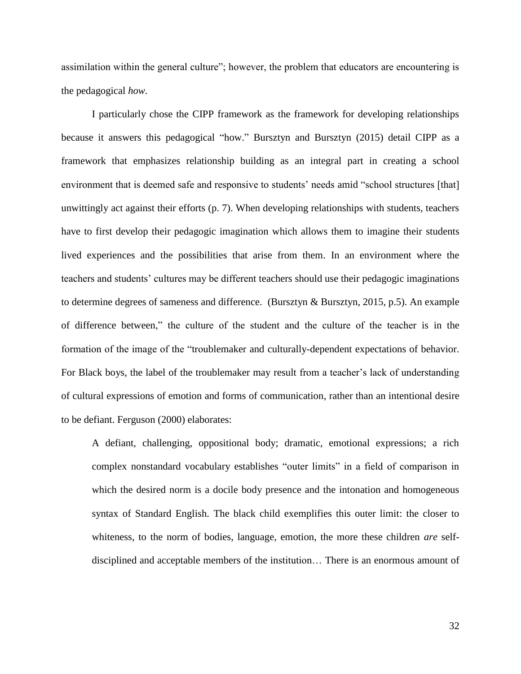assimilation within the general culture"; however, the problem that educators are encountering is the pedagogical *how.* 

I particularly chose the CIPP framework as the framework for developing relationships because it answers this pedagogical "how." Bursztyn and Bursztyn (2015) detail CIPP as a framework that emphasizes relationship building as an integral part in creating a school environment that is deemed safe and responsive to students' needs amid "school structures [that] unwittingly act against their efforts (p. 7). When developing relationships with students, teachers have to first develop their pedagogic imagination which allows them to imagine their students lived experiences and the possibilities that arise from them. In an environment where the teachers and students' cultures may be different teachers should use their pedagogic imaginations to determine degrees of sameness and difference. (Bursztyn & Bursztyn, 2015, p.5). An example of difference between," the culture of the student and the culture of the teacher is in the formation of the image of the "troublemaker and culturally-dependent expectations of behavior. For Black boys, the label of the troublemaker may result from a teacher's lack of understanding of cultural expressions of emotion and forms of communication, rather than an intentional desire to be defiant. Ferguson (2000) elaborates:

A defiant, challenging, oppositional body; dramatic, emotional expressions; a rich complex nonstandard vocabulary establishes "outer limits" in a field of comparison in which the desired norm is a docile body presence and the intonation and homogeneous syntax of Standard English. The black child exemplifies this outer limit: the closer to whiteness, to the norm of bodies, language, emotion, the more these children *are* selfdisciplined and acceptable members of the institution… There is an enormous amount of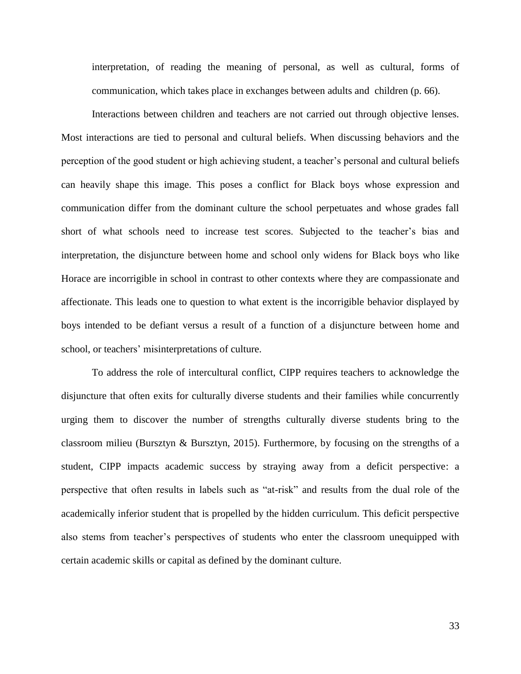interpretation, of reading the meaning of personal, as well as cultural, forms of communication, which takes place in exchanges between adults and children (p. 66).

Interactions between children and teachers are not carried out through objective lenses. Most interactions are tied to personal and cultural beliefs. When discussing behaviors and the perception of the good student or high achieving student, a teacher's personal and cultural beliefs can heavily shape this image. This poses a conflict for Black boys whose expression and communication differ from the dominant culture the school perpetuates and whose grades fall short of what schools need to increase test scores. Subjected to the teacher's bias and interpretation, the disjuncture between home and school only widens for Black boys who like Horace are incorrigible in school in contrast to other contexts where they are compassionate and affectionate. This leads one to question to what extent is the incorrigible behavior displayed by boys intended to be defiant versus a result of a function of a disjuncture between home and school, or teachers' misinterpretations of culture.

To address the role of intercultural conflict, CIPP requires teachers to acknowledge the disjuncture that often exits for culturally diverse students and their families while concurrently urging them to discover the number of strengths culturally diverse students bring to the classroom milieu (Bursztyn & Bursztyn, 2015). Furthermore, by focusing on the strengths of a student, CIPP impacts academic success by straying away from a deficit perspective: a perspective that often results in labels such as "at-risk" and results from the dual role of the academically inferior student that is propelled by the hidden curriculum. This deficit perspective also stems from teacher's perspectives of students who enter the classroom unequipped with certain academic skills or capital as defined by the dominant culture.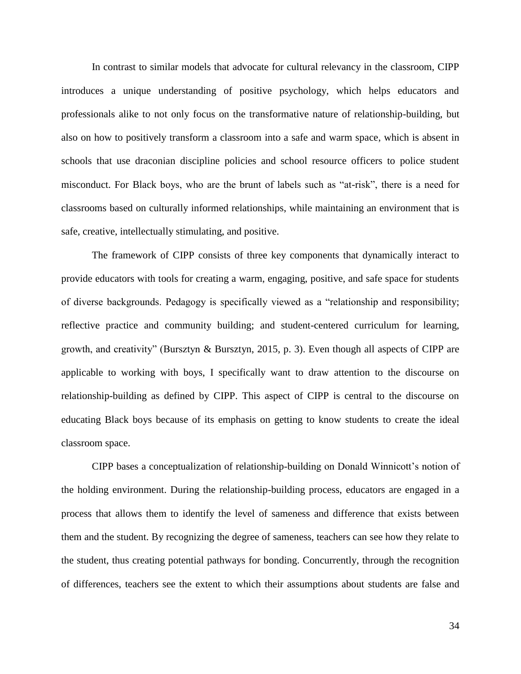In contrast to similar models that advocate for cultural relevancy in the classroom, CIPP introduces a unique understanding of positive psychology, which helps educators and professionals alike to not only focus on the transformative nature of relationship-building, but also on how to positively transform a classroom into a safe and warm space, which is absent in schools that use draconian discipline policies and school resource officers to police student misconduct. For Black boys, who are the brunt of labels such as "at-risk", there is a need for classrooms based on culturally informed relationships, while maintaining an environment that is safe, creative, intellectually stimulating, and positive.

The framework of CIPP consists of three key components that dynamically interact to provide educators with tools for creating a warm, engaging, positive, and safe space for students of diverse backgrounds. Pedagogy is specifically viewed as a "relationship and responsibility; reflective practice and community building; and student-centered curriculum for learning, growth, and creativity" (Bursztyn & Bursztyn, 2015, p. 3). Even though all aspects of CIPP are applicable to working with boys, I specifically want to draw attention to the discourse on relationship-building as defined by CIPP. This aspect of CIPP is central to the discourse on educating Black boys because of its emphasis on getting to know students to create the ideal classroom space.

CIPP bases a conceptualization of relationship-building on Donald Winnicott's notion of the holding environment. During the relationship-building process, educators are engaged in a process that allows them to identify the level of sameness and difference that exists between them and the student. By recognizing the degree of sameness, teachers can see how they relate to the student, thus creating potential pathways for bonding. Concurrently, through the recognition of differences, teachers see the extent to which their assumptions about students are false and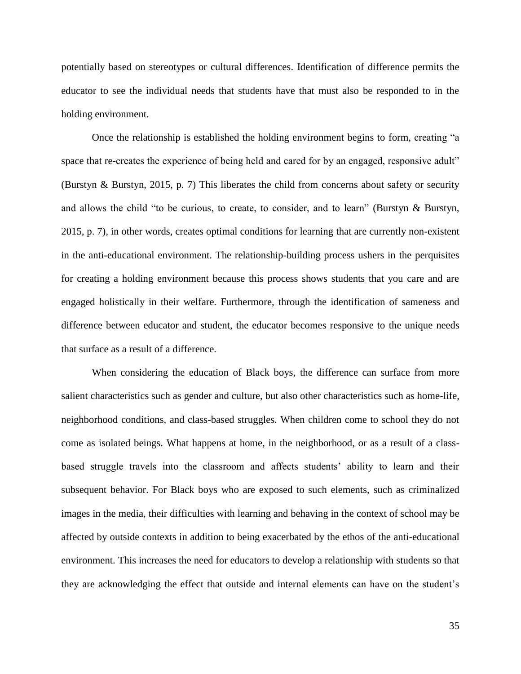potentially based on stereotypes or cultural differences. Identification of difference permits the educator to see the individual needs that students have that must also be responded to in the holding environment.

Once the relationship is established the holding environment begins to form, creating "a space that re-creates the experience of being held and cared for by an engaged, responsive adult" (Burstyn & Burstyn, 2015, p. 7) This liberates the child from concerns about safety or security and allows the child "to be curious, to create, to consider, and to learn" (Burstyn & Burstyn, 2015, p. 7), in other words, creates optimal conditions for learning that are currently non-existent in the anti-educational environment. The relationship-building process ushers in the perquisites for creating a holding environment because this process shows students that you care and are engaged holistically in their welfare. Furthermore, through the identification of sameness and difference between educator and student, the educator becomes responsive to the unique needs that surface as a result of a difference.

When considering the education of Black boys, the difference can surface from more salient characteristics such as gender and culture, but also other characteristics such as home-life, neighborhood conditions, and class-based struggles. When children come to school they do not come as isolated beings. What happens at home, in the neighborhood, or as a result of a classbased struggle travels into the classroom and affects students' ability to learn and their subsequent behavior. For Black boys who are exposed to such elements, such as criminalized images in the media, their difficulties with learning and behaving in the context of school may be affected by outside contexts in addition to being exacerbated by the ethos of the anti-educational environment. This increases the need for educators to develop a relationship with students so that they are acknowledging the effect that outside and internal elements can have on the student's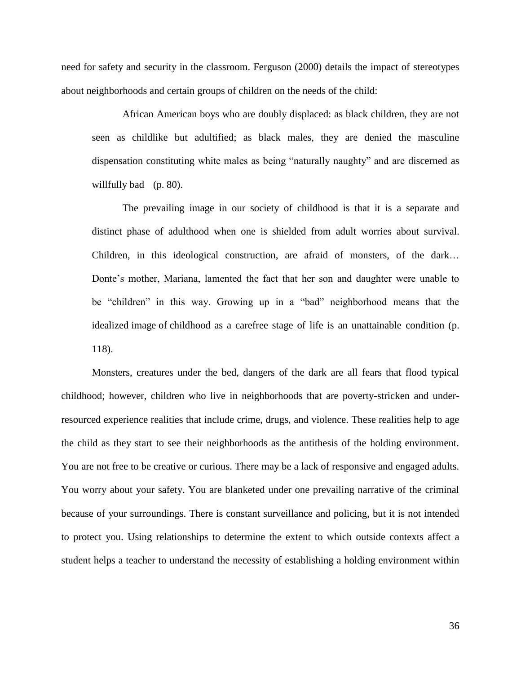need for safety and security in the classroom. Ferguson (2000) details the impact of stereotypes about neighborhoods and certain groups of children on the needs of the child:

African American boys who are doubly displaced: as black children, they are not seen as childlike but adultified; as black males, they are denied the masculine dispensation constituting white males as being "naturally naughty" and are discerned as willfully bad (p. 80).

The prevailing image in our society of childhood is that it is a separate and distinct phase of adulthood when one is shielded from adult worries about survival. Children, in this ideological construction, are afraid of monsters, of the dark… Donte's mother, Mariana, lamented the fact that her son and daughter were unable to be "children" in this way. Growing up in a "bad" neighborhood means that the idealized image of childhood as a carefree stage of life is an unattainable condition (p. 118).

Monsters, creatures under the bed, dangers of the dark are all fears that flood typical childhood; however, children who live in neighborhoods that are poverty-stricken and underresourced experience realities that include crime, drugs, and violence. These realities help to age the child as they start to see their neighborhoods as the antithesis of the holding environment. You are not free to be creative or curious. There may be a lack of responsive and engaged adults. You worry about your safety. You are blanketed under one prevailing narrative of the criminal because of your surroundings. There is constant surveillance and policing, but it is not intended to protect you. Using relationships to determine the extent to which outside contexts affect a student helps a teacher to understand the necessity of establishing a holding environment within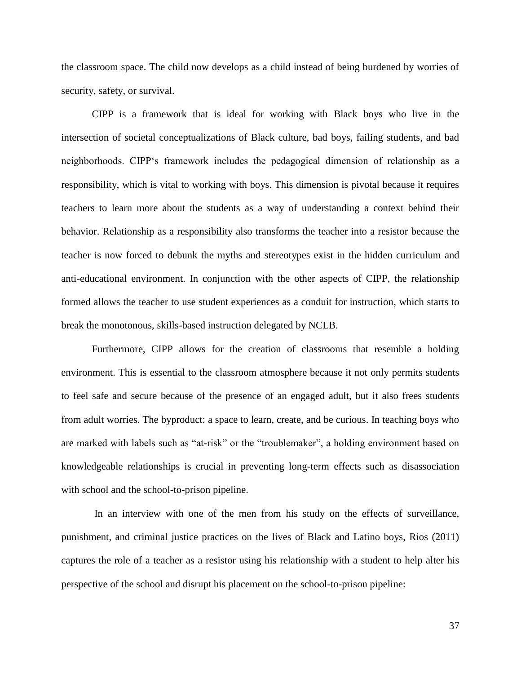the classroom space. The child now develops as a child instead of being burdened by worries of security, safety, or survival.

CIPP is a framework that is ideal for working with Black boys who live in the intersection of societal conceptualizations of Black culture, bad boys, failing students, and bad neighborhoods. CIPP's framework includes the pedagogical dimension of relationship as a responsibility, which is vital to working with boys. This dimension is pivotal because it requires teachers to learn more about the students as a way of understanding a context behind their behavior. Relationship as a responsibility also transforms the teacher into a resistor because the teacher is now forced to debunk the myths and stereotypes exist in the hidden curriculum and anti-educational environment. In conjunction with the other aspects of CIPP, the relationship formed allows the teacher to use student experiences as a conduit for instruction, which starts to break the monotonous, skills-based instruction delegated by NCLB.

Furthermore, CIPP allows for the creation of classrooms that resemble a holding environment. This is essential to the classroom atmosphere because it not only permits students to feel safe and secure because of the presence of an engaged adult, but it also frees students from adult worries. The byproduct: a space to learn, create, and be curious. In teaching boys who are marked with labels such as "at-risk" or the "troublemaker", a holding environment based on knowledgeable relationships is crucial in preventing long-term effects such as disassociation with school and the school-to-prison pipeline.

In an interview with one of the men from his study on the effects of surveillance, punishment, and criminal justice practices on the lives of Black and Latino boys, Rios (2011) captures the role of a teacher as a resistor using his relationship with a student to help alter his perspective of the school and disrupt his placement on the school-to-prison pipeline:

37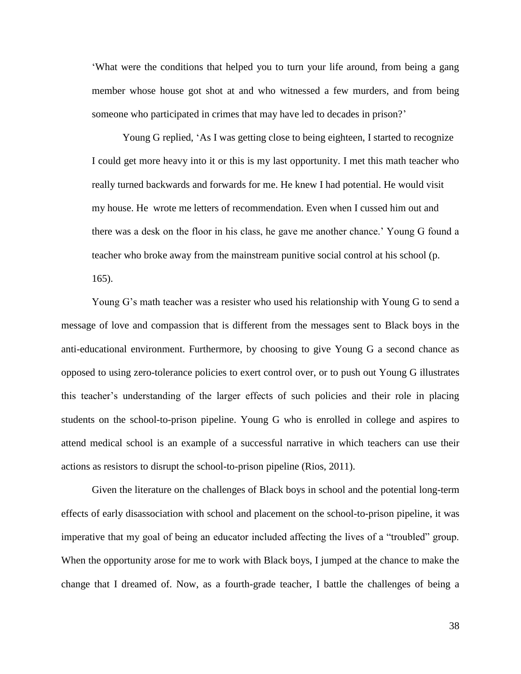'What were the conditions that helped you to turn your life around, from being a gang member whose house got shot at and who witnessed a few murders, and from being someone who participated in crimes that may have led to decades in prison?'

Young G replied, 'As I was getting close to being eighteen, I started to recognize I could get more heavy into it or this is my last opportunity. I met this math teacher who really turned backwards and forwards for me. He knew I had potential. He would visit my house. He wrote me letters of recommendation. Even when I cussed him out and there was a desk on the floor in his class, he gave me another chance.' Young G found a teacher who broke away from the mainstream punitive social control at his school (p.

165).

Young G's math teacher was a resister who used his relationship with Young G to send a message of love and compassion that is different from the messages sent to Black boys in the anti-educational environment. Furthermore, by choosing to give Young G a second chance as opposed to using zero-tolerance policies to exert control over, or to push out Young G illustrates this teacher's understanding of the larger effects of such policies and their role in placing students on the school-to-prison pipeline. Young G who is enrolled in college and aspires to attend medical school is an example of a successful narrative in which teachers can use their actions as resistors to disrupt the school-to-prison pipeline (Rios, 2011).

Given the literature on the challenges of Black boys in school and the potential long-term effects of early disassociation with school and placement on the school-to-prison pipeline, it was imperative that my goal of being an educator included affecting the lives of a "troubled" group. When the opportunity arose for me to work with Black boys, I jumped at the chance to make the change that I dreamed of. Now, as a fourth-grade teacher, I battle the challenges of being a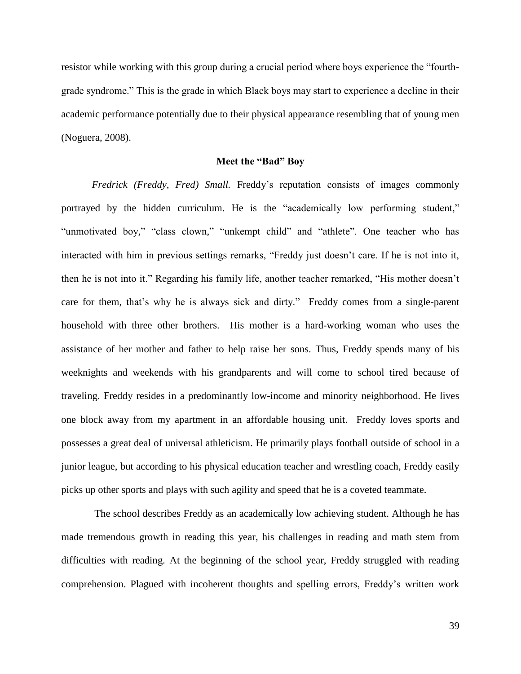resistor while working with this group during a crucial period where boys experience the "fourthgrade syndrome." This is the grade in which Black boys may start to experience a decline in their academic performance potentially due to their physical appearance resembling that of young men (Noguera, 2008).

## **Meet the "Bad" Boy**

*Fredrick (Freddy, Fred) Small.* Freddy's reputation consists of images commonly portrayed by the hidden curriculum. He is the "academically low performing student," "unmotivated boy," "class clown," "unkempt child" and "athlete". One teacher who has interacted with him in previous settings remarks, "Freddy just doesn't care. If he is not into it, then he is not into it." Regarding his family life, another teacher remarked, "His mother doesn't care for them, that's why he is always sick and dirty." Freddy comes from a single-parent household with three other brothers. His mother is a hard-working woman who uses the assistance of her mother and father to help raise her sons. Thus, Freddy spends many of his weeknights and weekends with his grandparents and will come to school tired because of traveling. Freddy resides in a predominantly low-income and minority neighborhood. He lives one block away from my apartment in an affordable housing unit. Freddy loves sports and possesses a great deal of universal athleticism. He primarily plays football outside of school in a junior league, but according to his physical education teacher and wrestling coach, Freddy easily picks up other sports and plays with such agility and speed that he is a coveted teammate.

The school describes Freddy as an academically low achieving student. Although he has made tremendous growth in reading this year, his challenges in reading and math stem from difficulties with reading. At the beginning of the school year, Freddy struggled with reading comprehension. Plagued with incoherent thoughts and spelling errors, Freddy's written work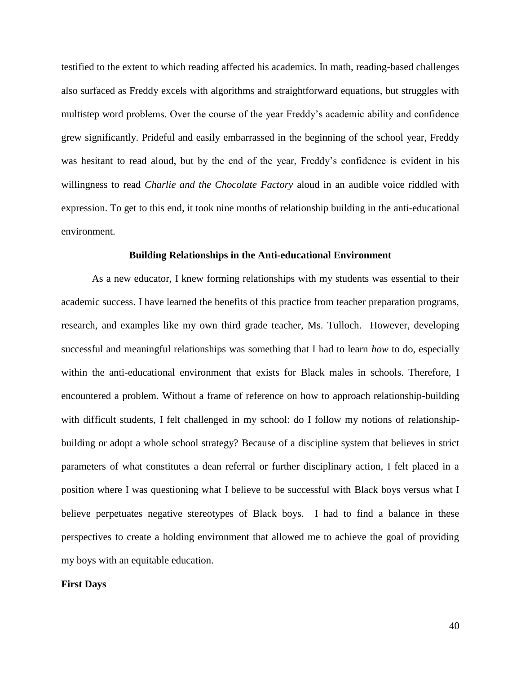testified to the extent to which reading affected his academics. In math, reading-based challenges also surfaced as Freddy excels with algorithms and straightforward equations, but struggles with multistep word problems. Over the course of the year Freddy's academic ability and confidence grew significantly. Prideful and easily embarrassed in the beginning of the school year, Freddy was hesitant to read aloud, but by the end of the year, Freddy's confidence is evident in his willingness to read *Charlie and the Chocolate Factory* aloud in an audible voice riddled with expression. To get to this end, it took nine months of relationship building in the anti-educational environment.

#### **Building Relationships in the Anti-educational Environment**

As a new educator, I knew forming relationships with my students was essential to their academic success. I have learned the benefits of this practice from teacher preparation programs, research, and examples like my own third grade teacher, Ms. Tulloch. However, developing successful and meaningful relationships was something that I had to learn *how* to do, especially within the anti-educational environment that exists for Black males in schools. Therefore, I encountered a problem. Without a frame of reference on how to approach relationship-building with difficult students, I felt challenged in my school: do I follow my notions of relationshipbuilding or adopt a whole school strategy? Because of a discipline system that believes in strict parameters of what constitutes a dean referral or further disciplinary action, I felt placed in a position where I was questioning what I believe to be successful with Black boys versus what I believe perpetuates negative stereotypes of Black boys. I had to find a balance in these perspectives to create a holding environment that allowed me to achieve the goal of providing my boys with an equitable education.

#### **First Days**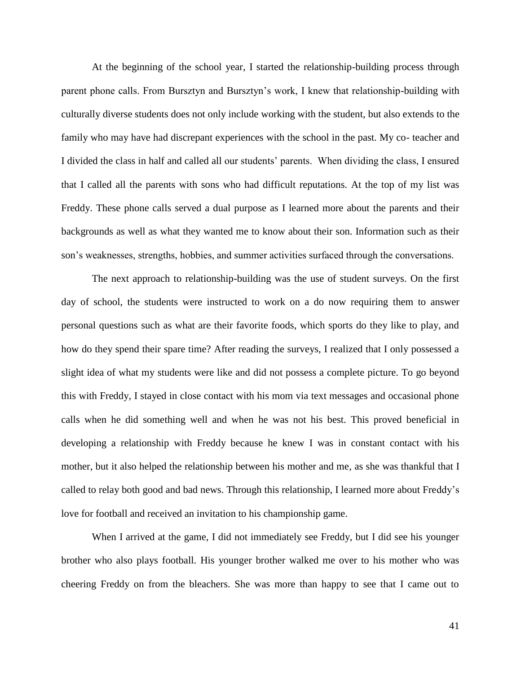At the beginning of the school year, I started the relationship-building process through parent phone calls. From Bursztyn and Bursztyn's work, I knew that relationship-building with culturally diverse students does not only include working with the student, but also extends to the family who may have had discrepant experiences with the school in the past. My co- teacher and I divided the class in half and called all our students' parents. When dividing the class, I ensured that I called all the parents with sons who had difficult reputations. At the top of my list was Freddy. These phone calls served a dual purpose as I learned more about the parents and their backgrounds as well as what they wanted me to know about their son. Information such as their son's weaknesses, strengths, hobbies, and summer activities surfaced through the conversations.

The next approach to relationship-building was the use of student surveys. On the first day of school, the students were instructed to work on a do now requiring them to answer personal questions such as what are their favorite foods, which sports do they like to play, and how do they spend their spare time? After reading the surveys, I realized that I only possessed a slight idea of what my students were like and did not possess a complete picture. To go beyond this with Freddy, I stayed in close contact with his mom via text messages and occasional phone calls when he did something well and when he was not his best. This proved beneficial in developing a relationship with Freddy because he knew I was in constant contact with his mother, but it also helped the relationship between his mother and me, as she was thankful that I called to relay both good and bad news. Through this relationship, I learned more about Freddy's love for football and received an invitation to his championship game.

When I arrived at the game, I did not immediately see Freddy, but I did see his younger brother who also plays football. His younger brother walked me over to his mother who was cheering Freddy on from the bleachers. She was more than happy to see that I came out to

41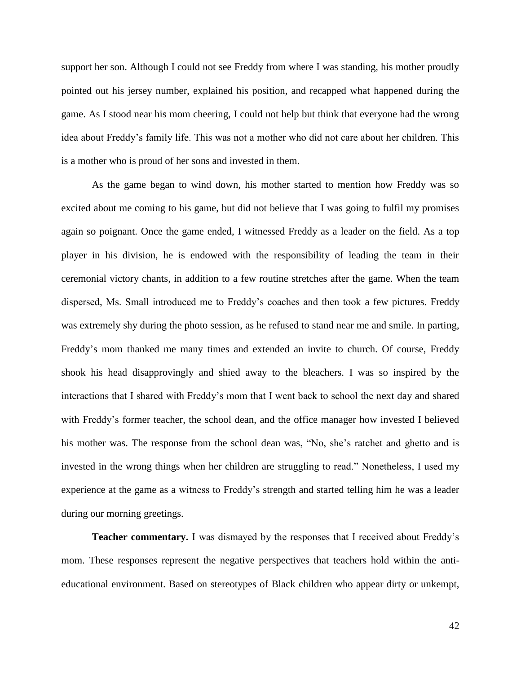support her son. Although I could not see Freddy from where I was standing, his mother proudly pointed out his jersey number, explained his position, and recapped what happened during the game. As I stood near his mom cheering, I could not help but think that everyone had the wrong idea about Freddy's family life. This was not a mother who did not care about her children. This is a mother who is proud of her sons and invested in them.

As the game began to wind down, his mother started to mention how Freddy was so excited about me coming to his game, but did not believe that I was going to fulfil my promises again so poignant. Once the game ended, I witnessed Freddy as a leader on the field. As a top player in his division, he is endowed with the responsibility of leading the team in their ceremonial victory chants, in addition to a few routine stretches after the game. When the team dispersed, Ms. Small introduced me to Freddy's coaches and then took a few pictures. Freddy was extremely shy during the photo session, as he refused to stand near me and smile. In parting, Freddy's mom thanked me many times and extended an invite to church. Of course, Freddy shook his head disapprovingly and shied away to the bleachers. I was so inspired by the interactions that I shared with Freddy's mom that I went back to school the next day and shared with Freddy's former teacher, the school dean, and the office manager how invested I believed his mother was. The response from the school dean was, "No, she's ratchet and ghetto and is invested in the wrong things when her children are struggling to read." Nonetheless, I used my experience at the game as a witness to Freddy's strength and started telling him he was a leader during our morning greetings.

**Teacher commentary.** I was dismayed by the responses that I received about Freddy's mom. These responses represent the negative perspectives that teachers hold within the antieducational environment. Based on stereotypes of Black children who appear dirty or unkempt,

42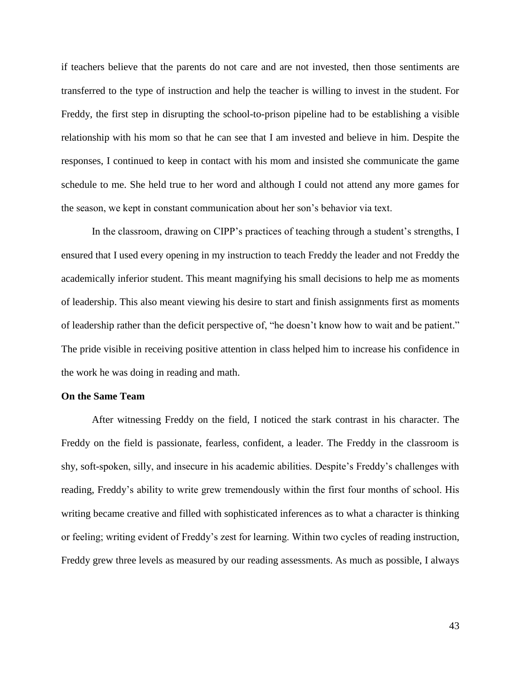if teachers believe that the parents do not care and are not invested, then those sentiments are transferred to the type of instruction and help the teacher is willing to invest in the student. For Freddy, the first step in disrupting the school-to-prison pipeline had to be establishing a visible relationship with his mom so that he can see that I am invested and believe in him. Despite the responses, I continued to keep in contact with his mom and insisted she communicate the game schedule to me. She held true to her word and although I could not attend any more games for the season, we kept in constant communication about her son's behavior via text.

In the classroom, drawing on CIPP's practices of teaching through a student's strengths, I ensured that I used every opening in my instruction to teach Freddy the leader and not Freddy the academically inferior student. This meant magnifying his small decisions to help me as moments of leadership. This also meant viewing his desire to start and finish assignments first as moments of leadership rather than the deficit perspective of, "he doesn't know how to wait and be patient." The pride visible in receiving positive attention in class helped him to increase his confidence in the work he was doing in reading and math.

# **On the Same Team**

After witnessing Freddy on the field, I noticed the stark contrast in his character. The Freddy on the field is passionate, fearless, confident, a leader. The Freddy in the classroom is shy, soft-spoken, silly, and insecure in his academic abilities. Despite's Freddy's challenges with reading, Freddy's ability to write grew tremendously within the first four months of school. His writing became creative and filled with sophisticated inferences as to what a character is thinking or feeling; writing evident of Freddy's zest for learning. Within two cycles of reading instruction, Freddy grew three levels as measured by our reading assessments. As much as possible, I always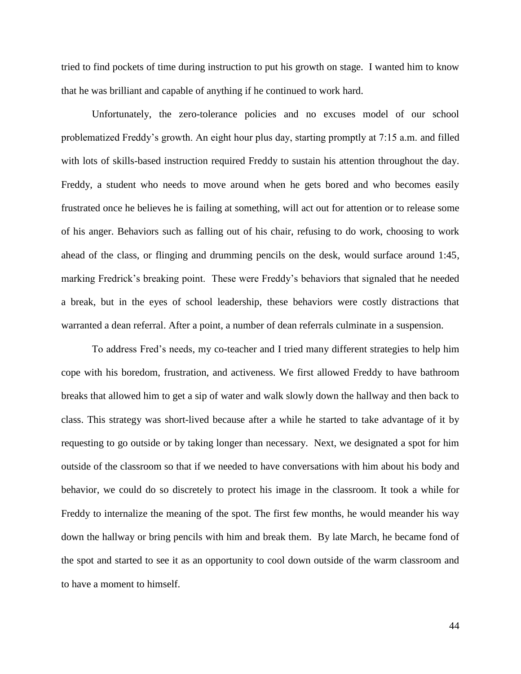tried to find pockets of time during instruction to put his growth on stage. I wanted him to know that he was brilliant and capable of anything if he continued to work hard.

Unfortunately, the zero-tolerance policies and no excuses model of our school problematized Freddy's growth. An eight hour plus day, starting promptly at 7:15 a.m. and filled with lots of skills-based instruction required Freddy to sustain his attention throughout the day. Freddy, a student who needs to move around when he gets bored and who becomes easily frustrated once he believes he is failing at something, will act out for attention or to release some of his anger. Behaviors such as falling out of his chair, refusing to do work, choosing to work ahead of the class, or flinging and drumming pencils on the desk, would surface around 1:45, marking Fredrick's breaking point. These were Freddy's behaviors that signaled that he needed a break, but in the eyes of school leadership, these behaviors were costly distractions that warranted a dean referral. After a point, a number of dean referrals culminate in a suspension.

To address Fred's needs, my co-teacher and I tried many different strategies to help him cope with his boredom, frustration, and activeness. We first allowed Freddy to have bathroom breaks that allowed him to get a sip of water and walk slowly down the hallway and then back to class. This strategy was short-lived because after a while he started to take advantage of it by requesting to go outside or by taking longer than necessary. Next, we designated a spot for him outside of the classroom so that if we needed to have conversations with him about his body and behavior, we could do so discretely to protect his image in the classroom. It took a while for Freddy to internalize the meaning of the spot. The first few months, he would meander his way down the hallway or bring pencils with him and break them. By late March, he became fond of the spot and started to see it as an opportunity to cool down outside of the warm classroom and to have a moment to himself.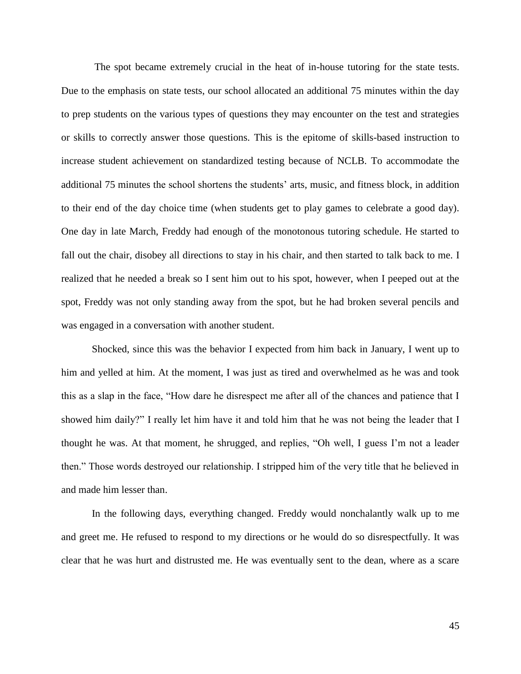The spot became extremely crucial in the heat of in-house tutoring for the state tests. Due to the emphasis on state tests, our school allocated an additional 75 minutes within the day to prep students on the various types of questions they may encounter on the test and strategies or skills to correctly answer those questions. This is the epitome of skills-based instruction to increase student achievement on standardized testing because of NCLB. To accommodate the additional 75 minutes the school shortens the students' arts, music, and fitness block, in addition to their end of the day choice time (when students get to play games to celebrate a good day). One day in late March, Freddy had enough of the monotonous tutoring schedule. He started to fall out the chair, disobey all directions to stay in his chair, and then started to talk back to me. I realized that he needed a break so I sent him out to his spot, however, when I peeped out at the spot, Freddy was not only standing away from the spot, but he had broken several pencils and was engaged in a conversation with another student.

Shocked, since this was the behavior I expected from him back in January, I went up to him and yelled at him. At the moment, I was just as tired and overwhelmed as he was and took this as a slap in the face, "How dare he disrespect me after all of the chances and patience that I showed him daily?" I really let him have it and told him that he was not being the leader that I thought he was. At that moment, he shrugged, and replies, "Oh well, I guess I'm not a leader then." Those words destroyed our relationship. I stripped him of the very title that he believed in and made him lesser than.

In the following days, everything changed. Freddy would nonchalantly walk up to me and greet me. He refused to respond to my directions or he would do so disrespectfully. It was clear that he was hurt and distrusted me. He was eventually sent to the dean, where as a scare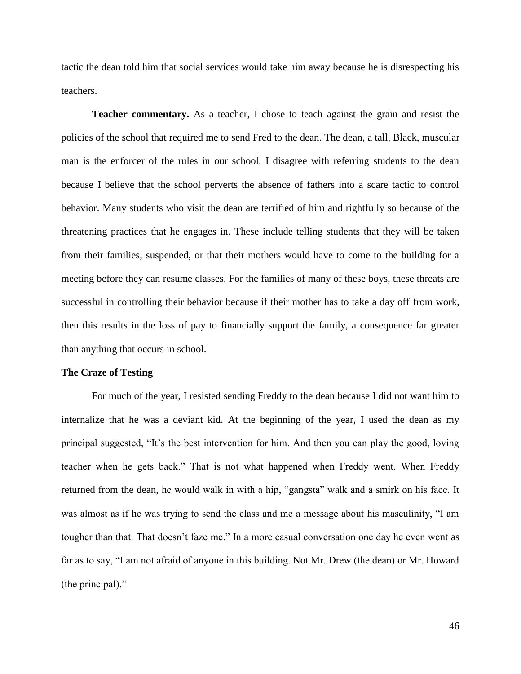tactic the dean told him that social services would take him away because he is disrespecting his teachers.

**Teacher commentary.** As a teacher, I chose to teach against the grain and resist the policies of the school that required me to send Fred to the dean. The dean, a tall, Black, muscular man is the enforcer of the rules in our school. I disagree with referring students to the dean because I believe that the school perverts the absence of fathers into a scare tactic to control behavior. Many students who visit the dean are terrified of him and rightfully so because of the threatening practices that he engages in. These include telling students that they will be taken from their families, suspended, or that their mothers would have to come to the building for a meeting before they can resume classes. For the families of many of these boys, these threats are successful in controlling their behavior because if their mother has to take a day off from work, then this results in the loss of pay to financially support the family, a consequence far greater than anything that occurs in school.

# **The Craze of Testing**

For much of the year, I resisted sending Freddy to the dean because I did not want him to internalize that he was a deviant kid. At the beginning of the year, I used the dean as my principal suggested, "It's the best intervention for him. And then you can play the good, loving teacher when he gets back." That is not what happened when Freddy went. When Freddy returned from the dean, he would walk in with a hip, "gangsta" walk and a smirk on his face. It was almost as if he was trying to send the class and me a message about his masculinity, "I am tougher than that. That doesn't faze me." In a more casual conversation one day he even went as far as to say, "I am not afraid of anyone in this building. Not Mr. Drew (the dean) or Mr. Howard (the principal)."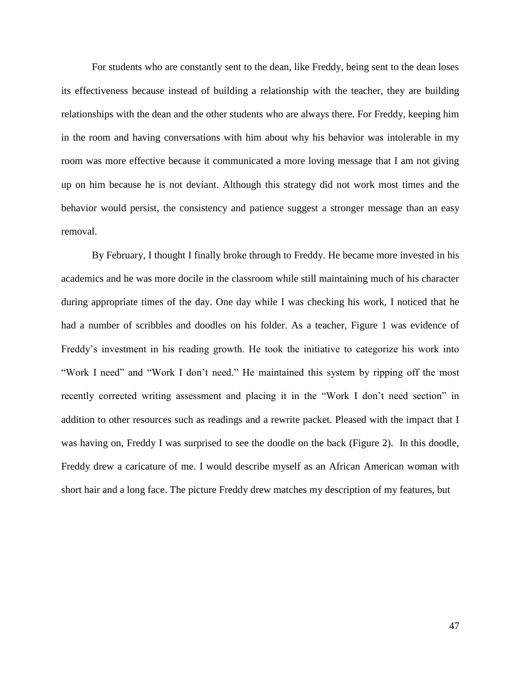For students who are constantly sent to the dean, like Freddy, being sent to the dean loses its effectiveness because instead of building a relationship with the teacher, they are building relationships with the dean and the other students who are always there. For Freddy, keeping him in the room and having conversations with him about why his behavior was intolerable in my room was more effective because it communicated a more loving message that I am not giving up on him because he is not deviant. Although this strategy did not work most times and the behavior would persist, the consistency and patience suggest a stronger message than an easy removal.

By February, I thought I finally broke through to Freddy. He became more invested in his academics and he was more docile in the classroom while still maintaining much of his character during appropriate times of the day. One day while I was checking his work, I noticed that he had a number of scribbles and doodles on his folder. As a teacher, Figure 1 was evidence of Freddy's investment in his reading growth. He took the initiative to categorize his work into "Work I need" and "Work I don't need." He maintained this system by ripping off the most recently corrected writing assessment and placing it in the "Work I don't need section" in addition to other resources such as readings and a rewrite packet. Pleased with the impact that I was having on, Freddy I was surprised to see the doodle on the back (Figure 2). In this doodle, Freddy drew a caricature of me. I would describe myself as an African American woman with short hair and a long face. The picture Freddy drew matches my description of my features, but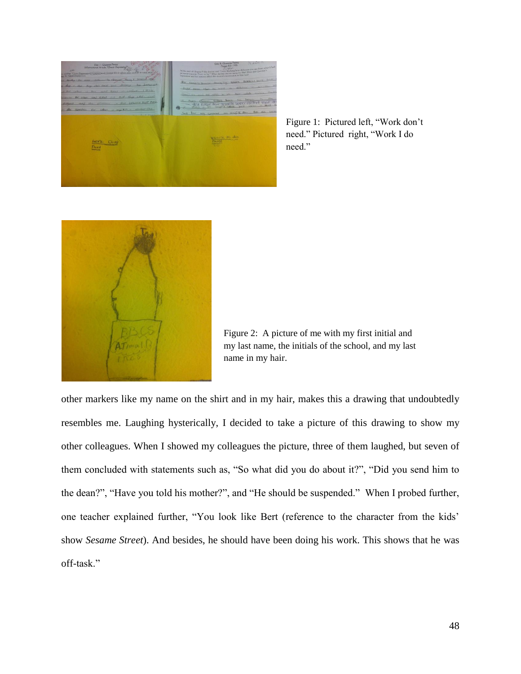

Figure 1: Pictured left, "Work don't need." Pictured right, "Work I do need."



Figure 2: A picture of me with my first initial and my last name, the initials of the school, and my last name in my hair.

other markers like my name on the shirt and in my hair, makes this a drawing that undoubtedly resembles me. Laughing hysterically, I decided to take a picture of this drawing to show my other colleagues. When I showed my colleagues the picture, three of them laughed, but seven of them concluded with statements such as, "So what did you do about it?", "Did you send him to the dean?", "Have you told his mother?", and "He should be suspended." When I probed further, one teacher explained further, "You look like Bert (reference to the character from the kids' show *Sesame Street*). And besides, he should have been doing his work. This shows that he was off-task."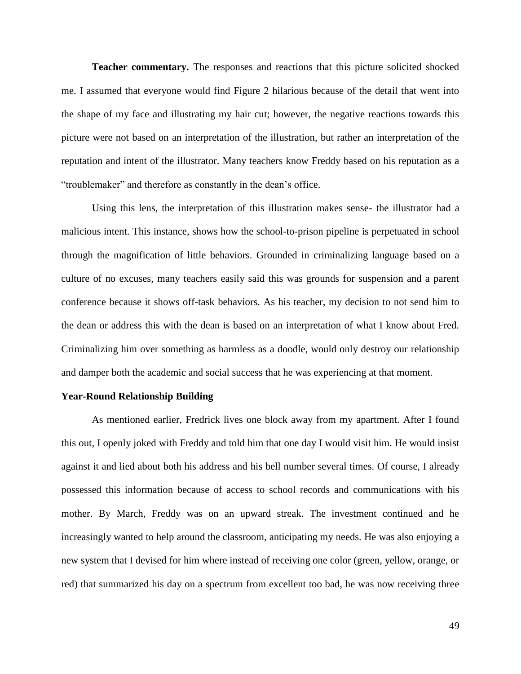**Teacher commentary.** The responses and reactions that this picture solicited shocked me. I assumed that everyone would find Figure 2 hilarious because of the detail that went into the shape of my face and illustrating my hair cut; however, the negative reactions towards this picture were not based on an interpretation of the illustration, but rather an interpretation of the reputation and intent of the illustrator. Many teachers know Freddy based on his reputation as a "troublemaker" and therefore as constantly in the dean's office.

Using this lens, the interpretation of this illustration makes sense- the illustrator had a malicious intent. This instance, shows how the school-to-prison pipeline is perpetuated in school through the magnification of little behaviors. Grounded in criminalizing language based on a culture of no excuses, many teachers easily said this was grounds for suspension and a parent conference because it shows off-task behaviors. As his teacher, my decision to not send him to the dean or address this with the dean is based on an interpretation of what I know about Fred. Criminalizing him over something as harmless as a doodle, would only destroy our relationship and damper both the academic and social success that he was experiencing at that moment.

# **Year-Round Relationship Building**

As mentioned earlier, Fredrick lives one block away from my apartment. After I found this out, I openly joked with Freddy and told him that one day I would visit him. He would insist against it and lied about both his address and his bell number several times. Of course, I already possessed this information because of access to school records and communications with his mother. By March, Freddy was on an upward streak. The investment continued and he increasingly wanted to help around the classroom, anticipating my needs. He was also enjoying a new system that I devised for him where instead of receiving one color (green, yellow, orange, or red) that summarized his day on a spectrum from excellent too bad, he was now receiving three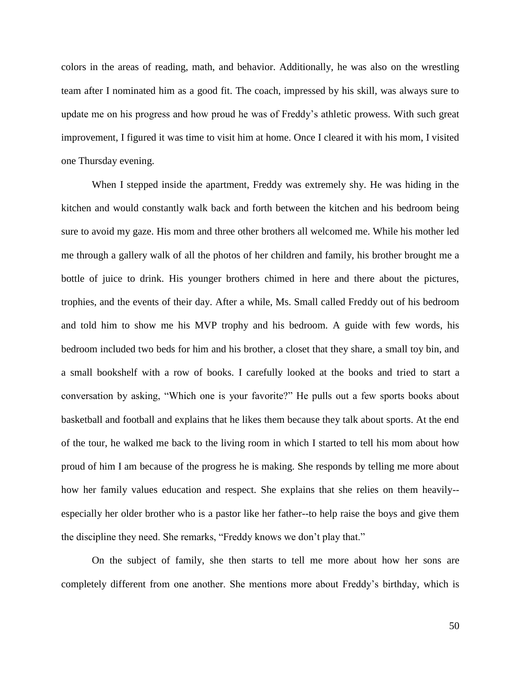colors in the areas of reading, math, and behavior. Additionally, he was also on the wrestling team after I nominated him as a good fit. The coach, impressed by his skill, was always sure to update me on his progress and how proud he was of Freddy's athletic prowess. With such great improvement, I figured it was time to visit him at home. Once I cleared it with his mom, I visited one Thursday evening.

When I stepped inside the apartment, Freddy was extremely shy. He was hiding in the kitchen and would constantly walk back and forth between the kitchen and his bedroom being sure to avoid my gaze. His mom and three other brothers all welcomed me. While his mother led me through a gallery walk of all the photos of her children and family, his brother brought me a bottle of juice to drink. His younger brothers chimed in here and there about the pictures, trophies, and the events of their day. After a while, Ms. Small called Freddy out of his bedroom and told him to show me his MVP trophy and his bedroom. A guide with few words, his bedroom included two beds for him and his brother, a closet that they share, a small toy bin, and a small bookshelf with a row of books. I carefully looked at the books and tried to start a conversation by asking, "Which one is your favorite?" He pulls out a few sports books about basketball and football and explains that he likes them because they talk about sports. At the end of the tour, he walked me back to the living room in which I started to tell his mom about how proud of him I am because of the progress he is making. She responds by telling me more about how her family values education and respect. She explains that she relies on them heavily- especially her older brother who is a pastor like her father--to help raise the boys and give them the discipline they need. She remarks, "Freddy knows we don't play that."

On the subject of family, she then starts to tell me more about how her sons are completely different from one another. She mentions more about Freddy's birthday, which is

50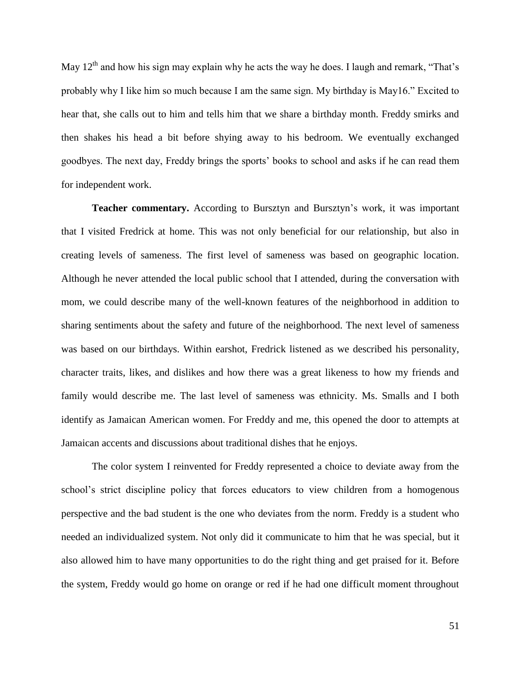May  $12<sup>th</sup>$  and how his sign may explain why he acts the way he does. I laugh and remark, "That's probably why I like him so much because I am the same sign. My birthday is May16." Excited to hear that, she calls out to him and tells him that we share a birthday month. Freddy smirks and then shakes his head a bit before shying away to his bedroom. We eventually exchanged goodbyes. The next day, Freddy brings the sports' books to school and asks if he can read them for independent work.

**Teacher commentary.** According to Bursztyn and Bursztyn's work, it was important that I visited Fredrick at home. This was not only beneficial for our relationship, but also in creating levels of sameness. The first level of sameness was based on geographic location. Although he never attended the local public school that I attended, during the conversation with mom, we could describe many of the well-known features of the neighborhood in addition to sharing sentiments about the safety and future of the neighborhood. The next level of sameness was based on our birthdays. Within earshot, Fredrick listened as we described his personality, character traits, likes, and dislikes and how there was a great likeness to how my friends and family would describe me. The last level of sameness was ethnicity. Ms. Smalls and I both identify as Jamaican American women. For Freddy and me, this opened the door to attempts at Jamaican accents and discussions about traditional dishes that he enjoys.

The color system I reinvented for Freddy represented a choice to deviate away from the school's strict discipline policy that forces educators to view children from a homogenous perspective and the bad student is the one who deviates from the norm. Freddy is a student who needed an individualized system. Not only did it communicate to him that he was special, but it also allowed him to have many opportunities to do the right thing and get praised for it. Before the system, Freddy would go home on orange or red if he had one difficult moment throughout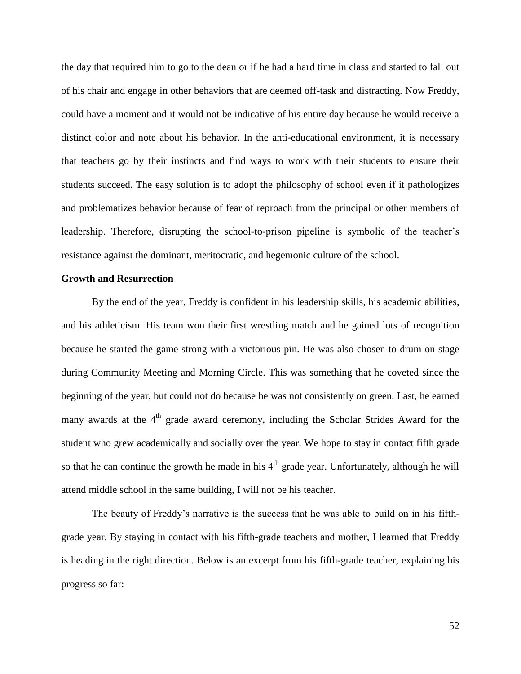the day that required him to go to the dean or if he had a hard time in class and started to fall out of his chair and engage in other behaviors that are deemed off-task and distracting. Now Freddy, could have a moment and it would not be indicative of his entire day because he would receive a distinct color and note about his behavior. In the anti-educational environment, it is necessary that teachers go by their instincts and find ways to work with their students to ensure their students succeed. The easy solution is to adopt the philosophy of school even if it pathologizes and problematizes behavior because of fear of reproach from the principal or other members of leadership. Therefore, disrupting the school-to-prison pipeline is symbolic of the teacher's resistance against the dominant, meritocratic, and hegemonic culture of the school.

# **Growth and Resurrection**

By the end of the year, Freddy is confident in his leadership skills, his academic abilities, and his athleticism. His team won their first wrestling match and he gained lots of recognition because he started the game strong with a victorious pin. He was also chosen to drum on stage during Community Meeting and Morning Circle. This was something that he coveted since the beginning of the year, but could not do because he was not consistently on green. Last, he earned many awards at the  $4<sup>th</sup>$  grade award ceremony, including the Scholar Strides Award for the student who grew academically and socially over the year. We hope to stay in contact fifth grade so that he can continue the growth he made in his  $4<sup>th</sup>$  grade year. Unfortunately, although he will attend middle school in the same building, I will not be his teacher.

The beauty of Freddy's narrative is the success that he was able to build on in his fifthgrade year. By staying in contact with his fifth-grade teachers and mother, I learned that Freddy is heading in the right direction. Below is an excerpt from his fifth-grade teacher, explaining his progress so far: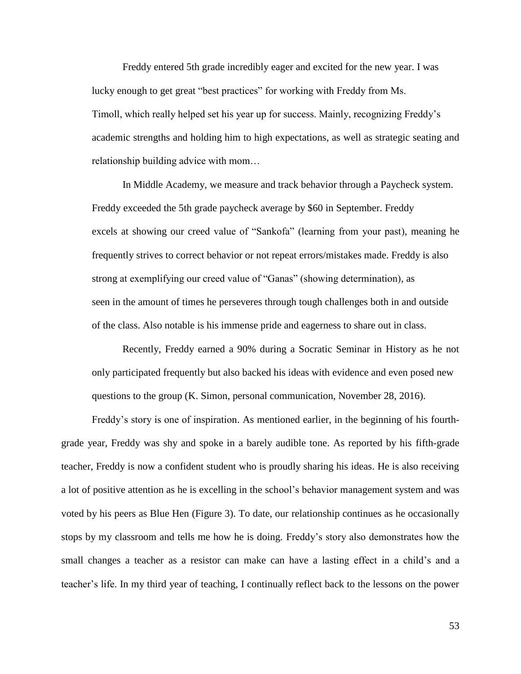Freddy entered 5th grade incredibly eager and excited for the new year. I was lucky enough to get great "best practices" for working with Freddy from Ms. Timoll, which really helped set his year up for success. Mainly, recognizing Freddy's academic strengths and holding him to high expectations, as well as strategic seating and relationship building advice with mom…

In Middle Academy, we measure and track behavior through a Paycheck system. Freddy exceeded the 5th grade paycheck average by \$60 in September. Freddy excels at showing our creed value of "Sankofa" (learning from your past), meaning he frequently strives to correct behavior or not repeat errors/mistakes made. Freddy is also strong at exemplifying our creed value of "Ganas" (showing determination), as seen in the amount of times he perseveres through tough challenges both in and outside of the class. Also notable is his immense pride and eagerness to share out in class.

Recently, Freddy earned a 90% during a Socratic Seminar in History as he not only participated frequently but also backed his ideas with evidence and even posed new questions to the group (K. Simon, personal communication, November 28, 2016).

Freddy's story is one of inspiration. As mentioned earlier, in the beginning of his fourthgrade year, Freddy was shy and spoke in a barely audible tone. As reported by his fifth-grade teacher, Freddy is now a confident student who is proudly sharing his ideas. He is also receiving a lot of positive attention as he is excelling in the school's behavior management system and was voted by his peers as Blue Hen (Figure 3). To date, our relationship continues as he occasionally stops by my classroom and tells me how he is doing. Freddy's story also demonstrates how the small changes a teacher as a resistor can make can have a lasting effect in a child's and a teacher's life. In my third year of teaching, I continually reflect back to the lessons on the power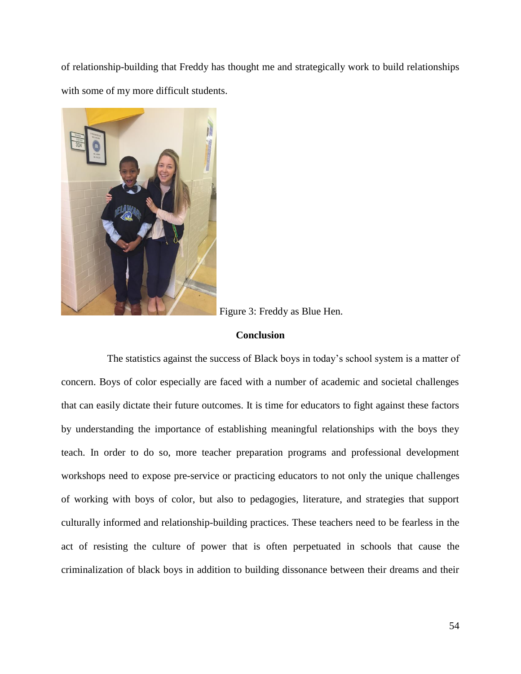of relationship-building that Freddy has thought me and strategically work to build relationships with some of my more difficult students.



Figure 3: Freddy as Blue Hen.

# **Conclusion**

The statistics against the success of Black boys in today's school system is a matter of concern. Boys of color especially are faced with a number of academic and societal challenges that can easily dictate their future outcomes. It is time for educators to fight against these factors by understanding the importance of establishing meaningful relationships with the boys they teach. In order to do so, more teacher preparation programs and professional development workshops need to expose pre-service or practicing educators to not only the unique challenges of working with boys of color, but also to pedagogies, literature, and strategies that support culturally informed and relationship-building practices. These teachers need to be fearless in the act of resisting the culture of power that is often perpetuated in schools that cause the criminalization of black boys in addition to building dissonance between their dreams and their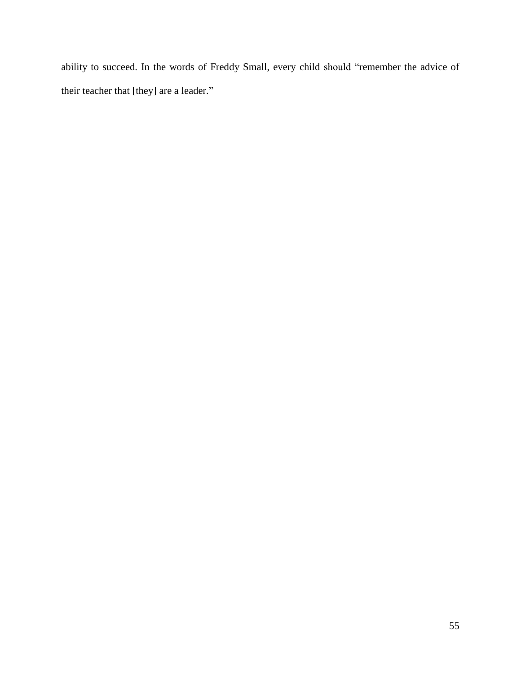ability to succeed. In the words of Freddy Small, every child should "remember the advice of their teacher that [they] are a leader."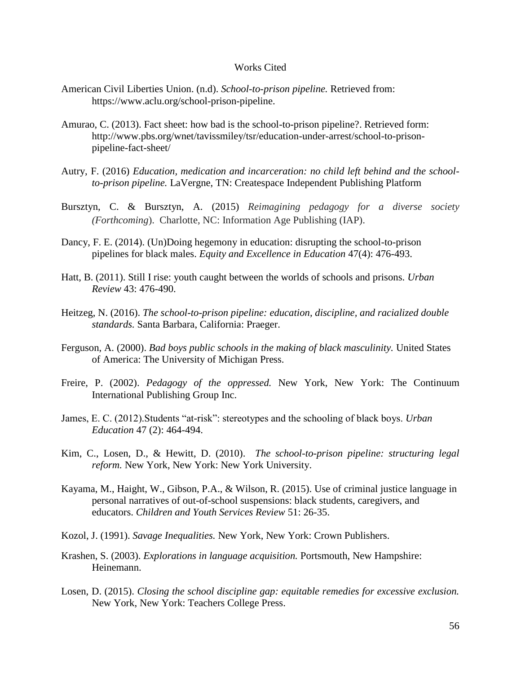## Works Cited

- American Civil Liberties Union. (n.d). *School-to-prison pipeline.* Retrieved from: https://www.aclu.org/school-prison-pipeline.
- Amurao, C. (2013). Fact sheet: how bad is the school-to-prison pipeline?. Retrieved form: http://www.pbs.org/wnet/tavissmiley/tsr/education-under-arrest/school-to-prisonpipeline-fact-sheet/
- Autry, F. (2016) *Education, medication and incarceration: no child left behind and the schoolto-prison pipeline.* LaVergne, TN: Createspace Independent Publishing Platform
- Bursztyn, C. & Bursztyn, A. (2015) *Reimagining pedagogy for a diverse society (Forthcoming*). Charlotte, NC: Information Age Publishing (IAP).
- Dancy, F. E. (2014). (Un)Doing hegemony in education: disrupting the school-to-prison pipelines for black males. *Equity and Excellence in Education* 47(4): 476-493.
- Hatt, B. (2011). Still I rise: youth caught between the worlds of schools and prisons. *Urban Review* 43: 476-490.
- Heitzeg, N. (2016). *The school-to-prison pipeline: education, discipline, and racialized double standards.* Santa Barbara, California: Praeger.
- Ferguson, A. (2000). *Bad boys public schools in the making of black masculinity.* United States of America: The University of Michigan Press.
- Freire, P. (2002). *Pedagogy of the oppressed.* New York, New York: The Continuum International Publishing Group Inc.
- James, E. C. (2012).Students "at-risk": stereotypes and the schooling of black boys. *Urban Education* 47 (2): 464-494.
- Kim, C., Losen, D., & Hewitt, D. (2010). *The school-to-prison pipeline: structuring legal reform.* New York, New York: New York University.
- Kayama, M., Haight, W., Gibson, P.A., & Wilson, R. (2015). Use of criminal justice language in personal narratives of out-of-school suspensions: black students, caregivers, and educators. *Children and Youth Services Review* 51: 26-35.
- Kozol, J. (1991). *Savage Inequalities.* New York, New York: Crown Publishers.
- Krashen, S. (2003). *Explorations in language acquisition.* Portsmouth, New Hampshire: Heinemann.
- Losen, D. (2015). *Closing the school discipline gap: equitable remedies for excessive exclusion.*  New York, New York: Teachers College Press.